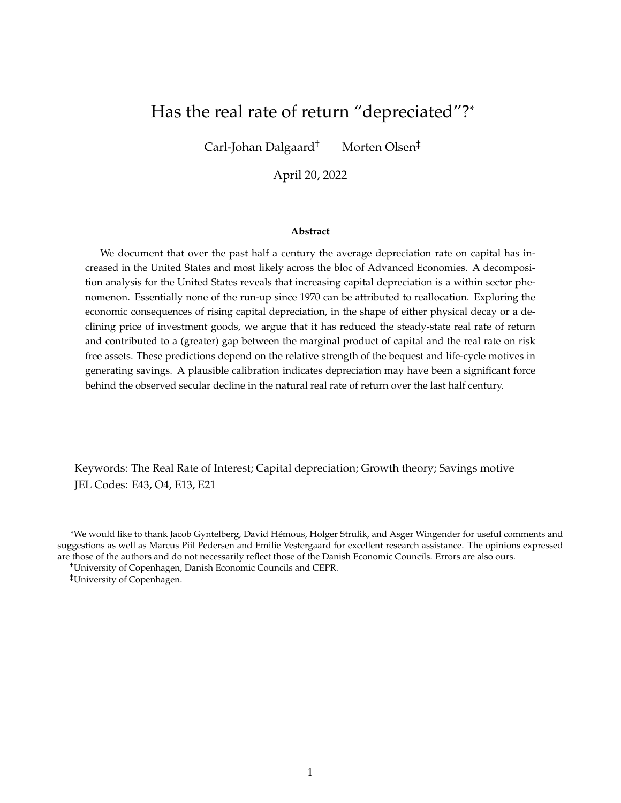## Has the real rate of return "depreciated"?\*

Carl-Johan Dalgaard† Morten Olsen‡

April 20, 2022

#### **Abstract**

We document that over the past half a century the average depreciation rate on capital has increased in the United States and most likely across the bloc of Advanced Economies. A decomposition analysis for the United States reveals that increasing capital depreciation is a within sector phenomenon. Essentially none of the run-up since 1970 can be attributed to reallocation. Exploring the economic consequences of rising capital depreciation, in the shape of either physical decay or a declining price of investment goods, we argue that it has reduced the steady-state real rate of return and contributed to a (greater) gap between the marginal product of capital and the real rate on risk free assets. These predictions depend on the relative strength of the bequest and life-cycle motives in generating savings. A plausible calibration indicates depreciation may have been a significant force behind the observed secular decline in the natural real rate of return over the last half century.

Keywords: The Real Rate of Interest; Capital depreciation; Growth theory; Savings motive JEL Codes: E43, O4, E13, E21

<sup>\*</sup>We would like to thank Jacob Gyntelberg, David Hémous, Holger Strulik, and Asger Wingender for useful comments and suggestions as well as Marcus Piil Pedersen and Emilie Vestergaard for excellent research assistance. The opinions expressed are those of the authors and do not necessarily reflect those of the Danish Economic Councils. Errors are also ours.

<sup>†</sup>University of Copenhagen, Danish Economic Councils and CEPR.

<sup>‡</sup>University of Copenhagen.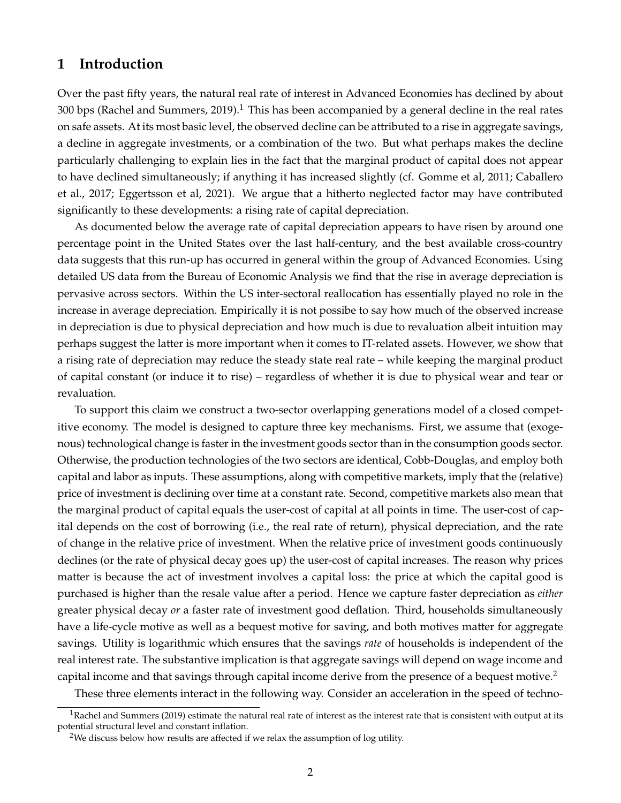### **1 Introduction**

Over the past fifty years, the natural real rate of interest in Advanced Economies has declined by about 300 bps (Rachel and Summers, 2019).<sup>1</sup> This has been accompanied by a general decline in the real rates on safe assets. At its most basic level, the observed decline can be attributed to a rise in aggregate savings, a decline in aggregate investments, or a combination of the two. But what perhaps makes the decline particularly challenging to explain lies in the fact that the marginal product of capital does not appear to have declined simultaneously; if anything it has increased slightly (cf. Gomme et al, 2011; Caballero et al., 2017; Eggertsson et al, 2021). We argue that a hitherto neglected factor may have contributed significantly to these developments: a rising rate of capital depreciation.

As documented below the average rate of capital depreciation appears to have risen by around one percentage point in the United States over the last half-century, and the best available cross-country data suggests that this run-up has occurred in general within the group of Advanced Economies. Using detailed US data from the Bureau of Economic Analysis we find that the rise in average depreciation is pervasive across sectors. Within the US inter-sectoral reallocation has essentially played no role in the increase in average depreciation. Empirically it is not possibe to say how much of the observed increase in depreciation is due to physical depreciation and how much is due to revaluation albeit intuition may perhaps suggest the latter is more important when it comes to IT-related assets. However, we show that a rising rate of depreciation may reduce the steady state real rate – while keeping the marginal product of capital constant (or induce it to rise) – regardless of whether it is due to physical wear and tear or revaluation.

To support this claim we construct a two-sector overlapping generations model of a closed competitive economy. The model is designed to capture three key mechanisms. First, we assume that (exogenous) technological change is faster in the investment goods sector than in the consumption goods sector. Otherwise, the production technologies of the two sectors are identical, Cobb-Douglas, and employ both capital and labor as inputs. These assumptions, along with competitive markets, imply that the (relative) price of investment is declining over time at a constant rate. Second, competitive markets also mean that the marginal product of capital equals the user-cost of capital at all points in time. The user-cost of capital depends on the cost of borrowing (i.e., the real rate of return), physical depreciation, and the rate of change in the relative price of investment. When the relative price of investment goods continuously declines (or the rate of physical decay goes up) the user-cost of capital increases. The reason why prices matter is because the act of investment involves a capital loss: the price at which the capital good is purchased is higher than the resale value after a period. Hence we capture faster depreciation as *either* greater physical decay *or* a faster rate of investment good deflation. Third, households simultaneously have a life-cycle motive as well as a bequest motive for saving, and both motives matter for aggregate savings. Utility is logarithmic which ensures that the savings *rate* of households is independent of the real interest rate. The substantive implication is that aggregate savings will depend on wage income and capital income and that savings through capital income derive from the presence of a bequest motive.<sup>2</sup>

These three elements interact in the following way. Consider an acceleration in the speed of techno-

 $1$ Rachel and Summers (2019) estimate the natural real rate of interest as the interest rate that is consistent with output at its potential structural level and constant inflation.

<sup>&</sup>lt;sup>2</sup>We discuss below how results are affected if we relax the assumption of log utility.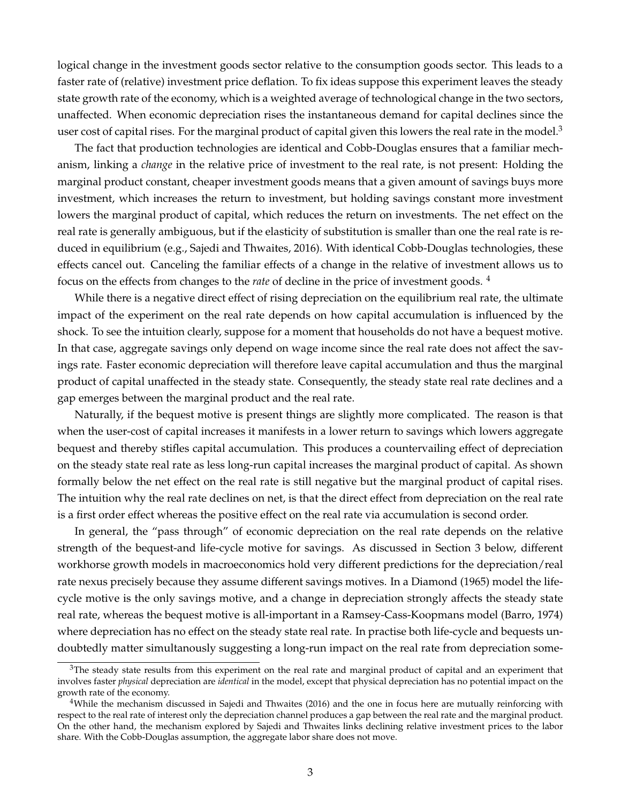logical change in the investment goods sector relative to the consumption goods sector. This leads to a faster rate of (relative) investment price deflation. To fix ideas suppose this experiment leaves the steady state growth rate of the economy, which is a weighted average of technological change in the two sectors, unaffected. When economic depreciation rises the instantaneous demand for capital declines since the user cost of capital rises. For the marginal product of capital given this lowers the real rate in the model.<sup>3</sup>

The fact that production technologies are identical and Cobb-Douglas ensures that a familiar mechanism, linking a *change* in the relative price of investment to the real rate, is not present: Holding the marginal product constant, cheaper investment goods means that a given amount of savings buys more investment, which increases the return to investment, but holding savings constant more investment lowers the marginal product of capital, which reduces the return on investments. The net effect on the real rate is generally ambiguous, but if the elasticity of substitution is smaller than one the real rate is reduced in equilibrium (e.g., Sajedi and Thwaites, 2016). With identical Cobb-Douglas technologies, these effects cancel out. Canceling the familiar effects of a change in the relative of investment allows us to focus on the effects from changes to the *rate* of decline in the price of investment goods. <sup>4</sup>

While there is a negative direct effect of rising depreciation on the equilibrium real rate, the ultimate impact of the experiment on the real rate depends on how capital accumulation is influenced by the shock. To see the intuition clearly, suppose for a moment that households do not have a bequest motive. In that case, aggregate savings only depend on wage income since the real rate does not affect the savings rate. Faster economic depreciation will therefore leave capital accumulation and thus the marginal product of capital unaffected in the steady state. Consequently, the steady state real rate declines and a gap emerges between the marginal product and the real rate.

Naturally, if the bequest motive is present things are slightly more complicated. The reason is that when the user-cost of capital increases it manifests in a lower return to savings which lowers aggregate bequest and thereby stifles capital accumulation. This produces a countervailing effect of depreciation on the steady state real rate as less long-run capital increases the marginal product of capital. As shown formally below the net effect on the real rate is still negative but the marginal product of capital rises. The intuition why the real rate declines on net, is that the direct effect from depreciation on the real rate is a first order effect whereas the positive effect on the real rate via accumulation is second order.

In general, the "pass through" of economic depreciation on the real rate depends on the relative strength of the bequest-and life-cycle motive for savings. As discussed in Section 3 below, different workhorse growth models in macroeconomics hold very different predictions for the depreciation/real rate nexus precisely because they assume different savings motives. In a Diamond (1965) model the lifecycle motive is the only savings motive, and a change in depreciation strongly affects the steady state real rate, whereas the bequest motive is all-important in a Ramsey-Cass-Koopmans model (Barro, 1974) where depreciation has no effect on the steady state real rate. In practise both life-cycle and bequests undoubtedly matter simultanously suggesting a long-run impact on the real rate from depreciation some-

 $3$ The steady state results from this experiment on the real rate and marginal product of capital and an experiment that involves faster *physical* depreciation are *identical* in the model, except that physical depreciation has no potential impact on the growth rate of the economy.

 $4$ While the mechanism discussed in Sajedi and Thwaites (2016) and the one in focus here are mutually reinforcing with respect to the real rate of interest only the depreciation channel produces a gap between the real rate and the marginal product. On the other hand, the mechanism explored by Sajedi and Thwaites links declining relative investment prices to the labor share. With the Cobb-Douglas assumption, the aggregate labor share does not move.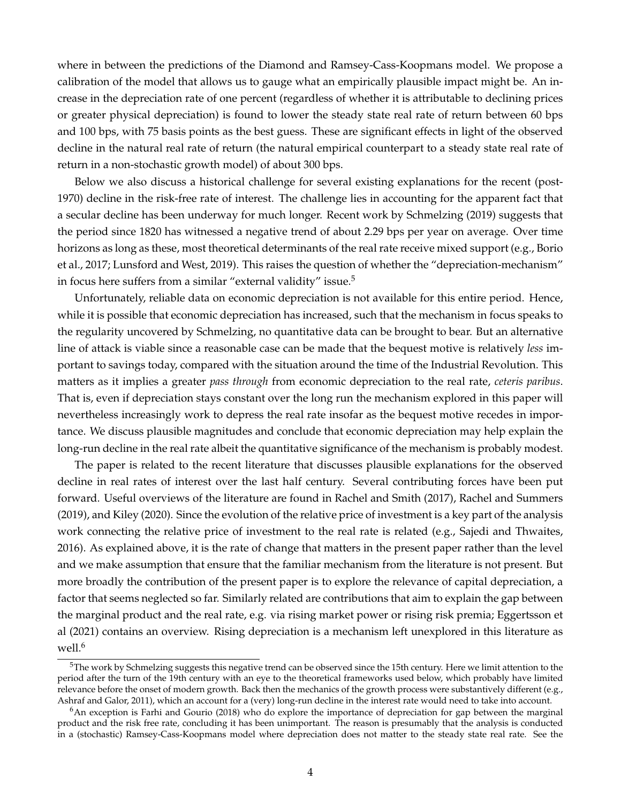where in between the predictions of the Diamond and Ramsey-Cass-Koopmans model. We propose a calibration of the model that allows us to gauge what an empirically plausible impact might be. An increase in the depreciation rate of one percent (regardless of whether it is attributable to declining prices or greater physical depreciation) is found to lower the steady state real rate of return between 60 bps and 100 bps, with 75 basis points as the best guess. These are significant effects in light of the observed decline in the natural real rate of return (the natural empirical counterpart to a steady state real rate of return in a non-stochastic growth model) of about 300 bps.

Below we also discuss a historical challenge for several existing explanations for the recent (post-1970) decline in the risk-free rate of interest. The challenge lies in accounting for the apparent fact that a secular decline has been underway for much longer. Recent work by Schmelzing (2019) suggests that the period since 1820 has witnessed a negative trend of about 2.29 bps per year on average. Over time horizons as long as these, most theoretical determinants of the real rate receive mixed support (e.g., Borio et al., 2017; Lunsford and West, 2019). This raises the question of whether the "depreciation-mechanism" in focus here suffers from a similar "external validity" issue.<sup>5</sup>

Unfortunately, reliable data on economic depreciation is not available for this entire period. Hence, while it is possible that economic depreciation has increased, such that the mechanism in focus speaks to the regularity uncovered by Schmelzing, no quantitative data can be brought to bear. But an alternative line of attack is viable since a reasonable case can be made that the bequest motive is relatively *less* important to savings today, compared with the situation around the time of the Industrial Revolution. This matters as it implies a greater *pass through* from economic depreciation to the real rate, *ceteris paribus*. That is, even if depreciation stays constant over the long run the mechanism explored in this paper will nevertheless increasingly work to depress the real rate insofar as the bequest motive recedes in importance. We discuss plausible magnitudes and conclude that economic depreciation may help explain the long-run decline in the real rate albeit the quantitative significance of the mechanism is probably modest.

The paper is related to the recent literature that discusses plausible explanations for the observed decline in real rates of interest over the last half century. Several contributing forces have been put forward. Useful overviews of the literature are found in Rachel and Smith (2017), Rachel and Summers (2019), and Kiley (2020). Since the evolution of the relative price of investment is a key part of the analysis work connecting the relative price of investment to the real rate is related (e.g., Sajedi and Thwaites, 2016). As explained above, it is the rate of change that matters in the present paper rather than the level and we make assumption that ensure that the familiar mechanism from the literature is not present. But more broadly the contribution of the present paper is to explore the relevance of capital depreciation, a factor that seems neglected so far. Similarly related are contributions that aim to explain the gap between the marginal product and the real rate, e.g. via rising market power or rising risk premia; Eggertsson et al (2021) contains an overview. Rising depreciation is a mechanism left unexplored in this literature as well.<sup>6</sup>

<sup>&</sup>lt;sup>5</sup>The work by Schmelzing suggests this negative trend can be observed since the 15th century. Here we limit attention to the period after the turn of the 19th century with an eye to the theoretical frameworks used below, which probably have limited relevance before the onset of modern growth. Back then the mechanics of the growth process were substantively different (e.g., Ashraf and Galor, 2011), which an account for a (very) long-run decline in the interest rate would need to take into account.

<sup>&</sup>lt;sup>6</sup>An exception is Farhi and Gourio (2018) who do explore the importance of depreciation for gap between the marginal product and the risk free rate, concluding it has been unimportant. The reason is presumably that the analysis is conducted in a (stochastic) Ramsey-Cass-Koopmans model where depreciation does not matter to the steady state real rate. See the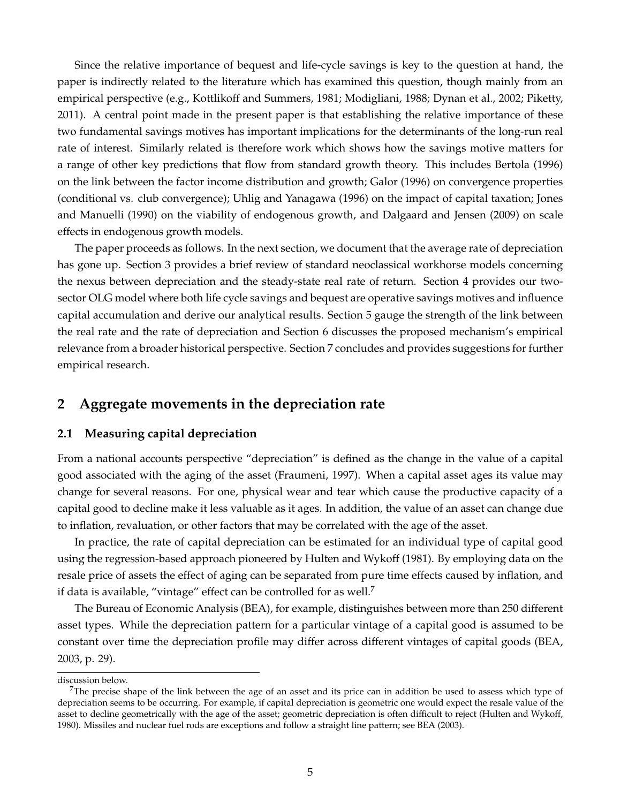Since the relative importance of bequest and life-cycle savings is key to the question at hand, the paper is indirectly related to the literature which has examined this question, though mainly from an empirical perspective (e.g., Kottlikoff and Summers, 1981; Modigliani, 1988; Dynan et al., 2002; Piketty, 2011). A central point made in the present paper is that establishing the relative importance of these two fundamental savings motives has important implications for the determinants of the long-run real rate of interest. Similarly related is therefore work which shows how the savings motive matters for a range of other key predictions that flow from standard growth theory. This includes Bertola (1996) on the link between the factor income distribution and growth; Galor (1996) on convergence properties (conditional vs. club convergence); Uhlig and Yanagawa (1996) on the impact of capital taxation; Jones and Manuelli (1990) on the viability of endogenous growth, and Dalgaard and Jensen (2009) on scale effects in endogenous growth models.

The paper proceeds as follows. In the next section, we document that the average rate of depreciation has gone up. Section 3 provides a brief review of standard neoclassical workhorse models concerning the nexus between depreciation and the steady-state real rate of return. Section 4 provides our twosector OLG model where both life cycle savings and bequest are operative savings motives and influence capital accumulation and derive our analytical results. Section 5 gauge the strength of the link between the real rate and the rate of depreciation and Section 6 discusses the proposed mechanism's empirical relevance from a broader historical perspective. Section 7 concludes and provides suggestions for further empirical research.

## **2 Aggregate movements in the depreciation rate**

#### **2.1 Measuring capital depreciation**

From a national accounts perspective "depreciation" is defined as the change in the value of a capital good associated with the aging of the asset (Fraumeni, 1997). When a capital asset ages its value may change for several reasons. For one, physical wear and tear which cause the productive capacity of a capital good to decline make it less valuable as it ages. In addition, the value of an asset can change due to inflation, revaluation, or other factors that may be correlated with the age of the asset.

In practice, the rate of capital depreciation can be estimated for an individual type of capital good using the regression-based approach pioneered by Hulten and Wykoff (1981). By employing data on the resale price of assets the effect of aging can be separated from pure time effects caused by inflation, and if data is available, "vintage" effect can be controlled for as well.<sup>7</sup>

The Bureau of Economic Analysis (BEA), for example, distinguishes between more than 250 different asset types. While the depreciation pattern for a particular vintage of a capital good is assumed to be constant over time the depreciation profile may differ across different vintages of capital goods (BEA, 2003, p. 29).

discussion below.

The precise shape of the link between the age of an asset and its price can in addition be used to assess which type of depreciation seems to be occurring. For example, if capital depreciation is geometric one would expect the resale value of the asset to decline geometrically with the age of the asset; geometric depreciation is often difficult to reject (Hulten and Wykoff, 1980). Missiles and nuclear fuel rods are exceptions and follow a straight line pattern; see BEA (2003).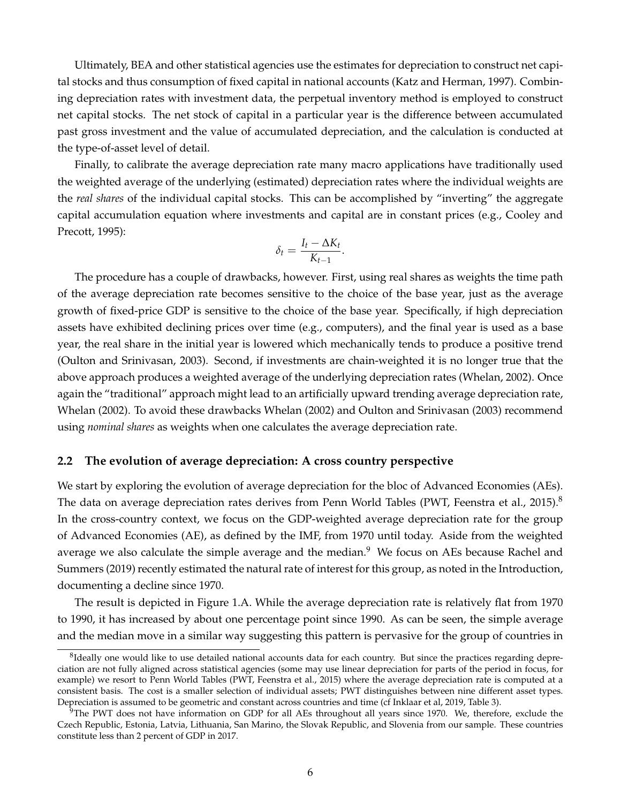Ultimately, BEA and other statistical agencies use the estimates for depreciation to construct net capital stocks and thus consumption of fixed capital in national accounts (Katz and Herman, 1997). Combining depreciation rates with investment data, the perpetual inventory method is employed to construct net capital stocks. The net stock of capital in a particular year is the difference between accumulated past gross investment and the value of accumulated depreciation, and the calculation is conducted at the type-of-asset level of detail.

Finally, to calibrate the average depreciation rate many macro applications have traditionally used the weighted average of the underlying (estimated) depreciation rates where the individual weights are the *real shares* of the individual capital stocks. This can be accomplished by "inverting" the aggregate capital accumulation equation where investments and capital are in constant prices (e.g., Cooley and Precott, 1995):

$$
\delta_t = \frac{I_t - \Delta K_t}{K_{t-1}}.
$$

The procedure has a couple of drawbacks, however. First, using real shares as weights the time path of the average depreciation rate becomes sensitive to the choice of the base year, just as the average growth of fixed-price GDP is sensitive to the choice of the base year. Specifically, if high depreciation assets have exhibited declining prices over time (e.g., computers), and the final year is used as a base year, the real share in the initial year is lowered which mechanically tends to produce a positive trend (Oulton and Srinivasan, 2003). Second, if investments are chain-weighted it is no longer true that the above approach produces a weighted average of the underlying depreciation rates (Whelan, 2002). Once again the "traditional" approach might lead to an artificially upward trending average depreciation rate, Whelan (2002). To avoid these drawbacks Whelan (2002) and Oulton and Srinivasan (2003) recommend using *nominal shares* as weights when one calculates the average depreciation rate.

#### **2.2 The evolution of average depreciation: A cross country perspective**

We start by exploring the evolution of average depreciation for the bloc of Advanced Economies (AEs). The data on average depreciation rates derives from Penn World Tables (PWT, Feenstra et al., 2015).<sup>8</sup> In the cross-country context, we focus on the GDP-weighted average depreciation rate for the group of Advanced Economies (AE), as defined by the IMF, from 1970 until today. Aside from the weighted average we also calculate the simple average and the median.<sup>9</sup> We focus on AEs because Rachel and Summers (2019) recently estimated the natural rate of interest for this group, as noted in the Introduction, documenting a decline since 1970.

The result is depicted in Figure 1.A. While the average depreciation rate is relatively flat from 1970 to 1990, it has increased by about one percentage point since 1990. As can be seen, the simple average and the median move in a similar way suggesting this pattern is pervasive for the group of countries in

 ${}^{8}$ Ideally one would like to use detailed national accounts data for each country. But since the practices regarding depreciation are not fully aligned across statistical agencies (some may use linear depreciation for parts of the period in focus, for example) we resort to Penn World Tables (PWT, Feenstra et al., 2015) where the average depreciation rate is computed at a consistent basis. The cost is a smaller selection of individual assets; PWT distinguishes between nine different asset types. Depreciation is assumed to be geometric and constant across countries and time (cf Inklaar et al, 2019, Table 3).

 $97$ The PWT does not have information on GDP for all AEs throughout all years since 1970. We, therefore, exclude the Czech Republic, Estonia, Latvia, Lithuania, San Marino, the Slovak Republic, and Slovenia from our sample. These countries constitute less than 2 percent of GDP in 2017.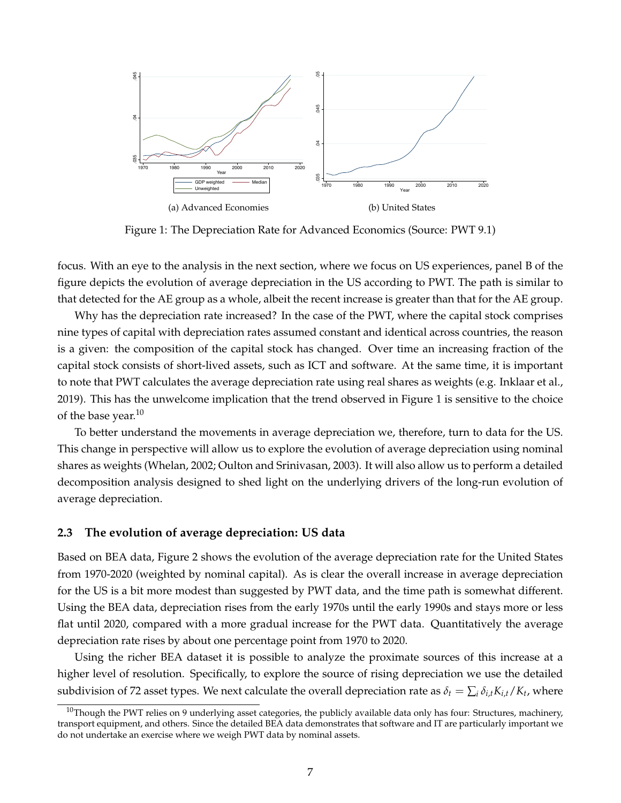

Figure 1: The Depreciation Rate for Advanced Economics (Source: PWT 9.1)

focus. With an eye to the analysis in the next section, where we focus on US experiences, panel B of the figure depicts the evolution of average depreciation in the US according to PWT. The path is similar to that detected for the AE group as a whole, albeit the recent increase is greater than that for the AE group.

Why has the depreciation rate increased? In the case of the PWT, where the capital stock comprises nine types of capital with depreciation rates assumed constant and identical across countries, the reason is a given: the composition of the capital stock has changed. Over time an increasing fraction of the capital stock consists of short-lived assets, such as ICT and software. At the same time, it is important to note that PWT calculates the average depreciation rate using real shares as weights (e.g. Inklaar et al., 2019). This has the unwelcome implication that the trend observed in Figure 1 is sensitive to the choice of the base year.<sup>10</sup>

To better understand the movements in average depreciation we, therefore, turn to data for the US. This change in perspective will allow us to explore the evolution of average depreciation using nominal shares as weights (Whelan, 2002; Oulton and Srinivasan, 2003). It will also allow us to perform a detailed decomposition analysis designed to shed light on the underlying drivers of the long-run evolution of average depreciation.

#### **2.3 The evolution of average depreciation: US data**

Based on BEA data, Figure 2 shows the evolution of the average depreciation rate for the United States from 1970-2020 (weighted by nominal capital). As is clear the overall increase in average depreciation for the US is a bit more modest than suggested by PWT data, and the time path is somewhat different. Using the BEA data, depreciation rises from the early 1970s until the early 1990s and stays more or less flat until 2020, compared with a more gradual increase for the PWT data. Quantitatively the average depreciation rate rises by about one percentage point from 1970 to 2020.

Using the richer BEA dataset it is possible to analyze the proximate sources of this increase at a higher level of resolution. Specifically, to explore the source of rising depreciation we use the detailed subdivision of 72 asset types. We next calculate the overall depreciation rate as  $\delta_t = \sum_i \delta_{i,t} K_{i,t}/K_t$ , where

 $10$ Though the PWT relies on 9 underlying asset categories, the publicly available data only has four: Structures, machinery, transport equipment, and others. Since the detailed BEA data demonstrates that software and IT are particularly important we do not undertake an exercise where we weigh PWT data by nominal assets.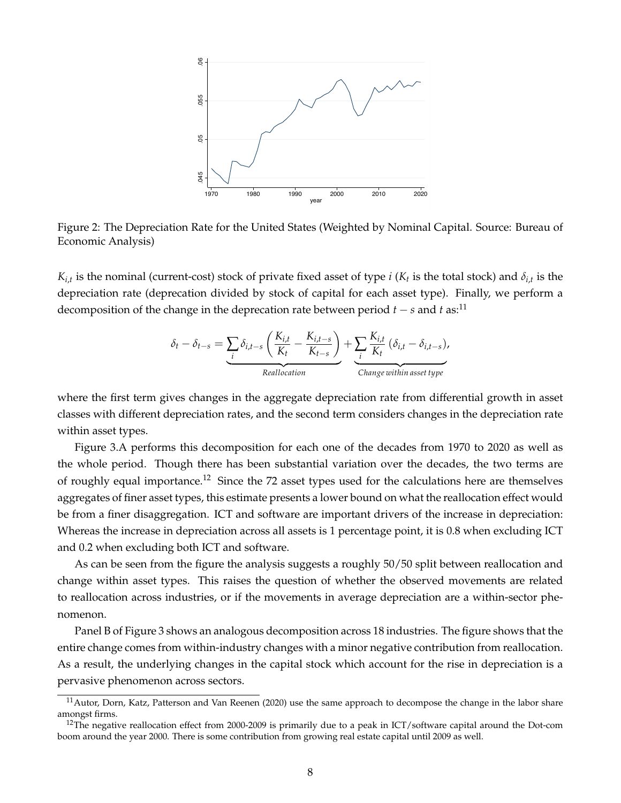

Figure 2: The Depreciation Rate for the United States (Weighted by Nominal Capital. Source: Bureau of Economic Analysis)

 $K_{i,t}$  is the nominal (current-cost) stock of private fixed asset of type *i* ( $K_t$  is the total stock) and  $\delta_{i,t}$  is the depreciation rate (deprecation divided by stock of capital for each asset type). Finally, we perform a decomposition of the change in the deprecation rate between period  $t - s$  and  $t$  as:<sup>11</sup>

$$
\delta_t - \delta_{t-s} = \underbrace{\sum_{i} \delta_{i,t-s} \left( \frac{K_{i,t}}{K_t} - \frac{K_{i,t-s}}{K_{t-s}} \right)}_{\text{Reallocation}} + \underbrace{\sum_{i} \frac{K_{i,t}}{K_t} \left( \delta_{i,t} - \delta_{i,t-s} \right)}_{\text{Change within asset type}},
$$

where the first term gives changes in the aggregate depreciation rate from differential growth in asset classes with different depreciation rates, and the second term considers changes in the depreciation rate within asset types.

Figure 3.A performs this decomposition for each one of the decades from 1970 to 2020 as well as the whole period. Though there has been substantial variation over the decades, the two terms are of roughly equal importance.<sup>12</sup> Since the 72 asset types used for the calculations here are themselves aggregates of finer asset types, this estimate presents a lower bound on what the reallocation effect would be from a finer disaggregation. ICT and software are important drivers of the increase in depreciation: Whereas the increase in depreciation across all assets is 1 percentage point, it is 0.8 when excluding ICT and 0.2 when excluding both ICT and software.

As can be seen from the figure the analysis suggests a roughly 50/50 split between reallocation and change within asset types. This raises the question of whether the observed movements are related to reallocation across industries, or if the movements in average depreciation are a within-sector phenomenon.

Panel B of Figure 3 shows an analogous decomposition across 18 industries. The figure shows that the entire change comes from within-industry changes with a minor negative contribution from reallocation. As a result, the underlying changes in the capital stock which account for the rise in depreciation is a pervasive phenomenon across sectors.

 $11$ Autor, Dorn, Katz, Patterson and Van Reenen (2020) use the same approach to decompose the change in the labor share amongst firms.

<sup>&</sup>lt;sup>12</sup>The negative reallocation effect from 2000-2009 is primarily due to a peak in ICT/software capital around the Dot-com boom around the year 2000. There is some contribution from growing real estate capital until 2009 as well.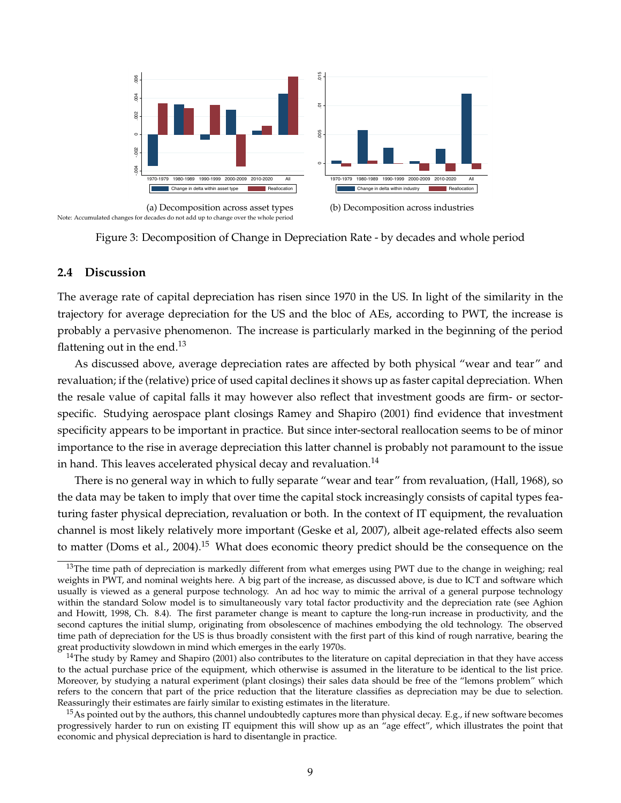



#### **2.4 Discussion**

The average rate of capital depreciation has risen since 1970 in the US. In light of the similarity in the trajectory for average depreciation for the US and the bloc of AEs, according to PWT, the increase is probably a pervasive phenomenon. The increase is particularly marked in the beginning of the period flattening out in the end.<sup>13</sup>

As discussed above, average depreciation rates are affected by both physical "wear and tear" and revaluation; if the (relative) price of used capital declines it shows up as faster capital depreciation. When the resale value of capital falls it may however also reflect that investment goods are firm- or sectorspecific. Studying aerospace plant closings Ramey and Shapiro (2001) find evidence that investment specificity appears to be important in practice. But since inter-sectoral reallocation seems to be of minor importance to the rise in average depreciation this latter channel is probably not paramount to the issue in hand. This leaves accelerated physical decay and revaluation.<sup>14</sup>

There is no general way in which to fully separate "wear and tear" from revaluation, (Hall, 1968), so the data may be taken to imply that over time the capital stock increasingly consists of capital types featuring faster physical depreciation, revaluation or both. In the context of IT equipment, the revaluation channel is most likely relatively more important (Geske et al, 2007), albeit age-related effects also seem to matter (Doms et al., 2004).<sup>15</sup> What does economic theory predict should be the consequence on the

 $13$ The time path of depreciation is markedly different from what emerges using PWT due to the change in weighing; real weights in PWT, and nominal weights here. A big part of the increase, as discussed above, is due to ICT and software which usually is viewed as a general purpose technology. An ad hoc way to mimic the arrival of a general purpose technology within the standard Solow model is to simultaneously vary total factor productivity and the depreciation rate (see Aghion and Howitt, 1998, Ch. 8.4). The first parameter change is meant to capture the long-run increase in productivity, and the second captures the initial slump, originating from obsolescence of machines embodying the old technology. The observed time path of depreciation for the US is thus broadly consistent with the first part of this kind of rough narrative, bearing the great productivity slowdown in mind which emerges in the early 1970s.

 $14$ The study by Ramey and Shapiro (2001) also contributes to the literature on capital depreciation in that they have access to the actual purchase price of the equipment, which otherwise is assumed in the literature to be identical to the list price. Moreover, by studying a natural experiment (plant closings) their sales data should be free of the "lemons problem" which refers to the concern that part of the price reduction that the literature classifies as depreciation may be due to selection. Reassuringly their estimates are fairly similar to existing estimates in the literature.

<sup>&</sup>lt;sup>15</sup>As pointed out by the authors, this channel undoubtedly captures more than physical decay. E.g., if new software becomes progressively harder to run on existing IT equipment this will show up as an "age effect", which illustrates the point that economic and physical depreciation is hard to disentangle in practice.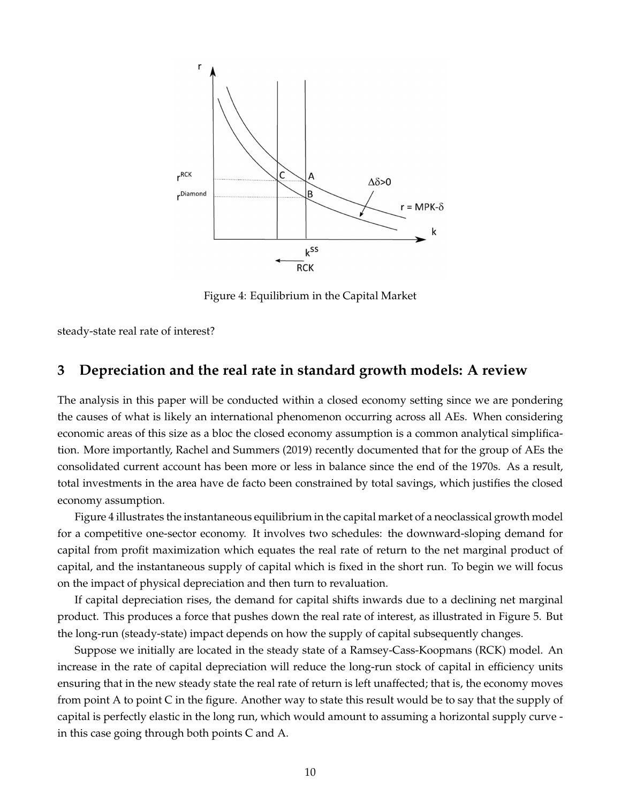

Figure 4: Equilibrium in the Capital Market

steady-state real rate of interest?

## **3 Depreciation and the real rate in standard growth models: A review**

The analysis in this paper will be conducted within a closed economy setting since we are pondering the causes of what is likely an international phenomenon occurring across all AEs. When considering economic areas of this size as a bloc the closed economy assumption is a common analytical simplification. More importantly, Rachel and Summers (2019) recently documented that for the group of AEs the consolidated current account has been more or less in balance since the end of the 1970s. As a result, total investments in the area have de facto been constrained by total savings, which justifies the closed economy assumption.

Figure 4 illustrates the instantaneous equilibrium in the capital market of a neoclassical growth model for a competitive one-sector economy. It involves two schedules: the downward-sloping demand for capital from profit maximization which equates the real rate of return to the net marginal product of capital, and the instantaneous supply of capital which is fixed in the short run. To begin we will focus on the impact of physical depreciation and then turn to revaluation.

If capital depreciation rises, the demand for capital shifts inwards due to a declining net marginal product. This produces a force that pushes down the real rate of interest, as illustrated in Figure 5. But the long-run (steady-state) impact depends on how the supply of capital subsequently changes.

Suppose we initially are located in the steady state of a Ramsey-Cass-Koopmans (RCK) model. An increase in the rate of capital depreciation will reduce the long-run stock of capital in efficiency units ensuring that in the new steady state the real rate of return is left unaffected; that is, the economy moves from point A to point C in the figure. Another way to state this result would be to say that the supply of capital is perfectly elastic in the long run, which would amount to assuming a horizontal supply curve in this case going through both points C and A.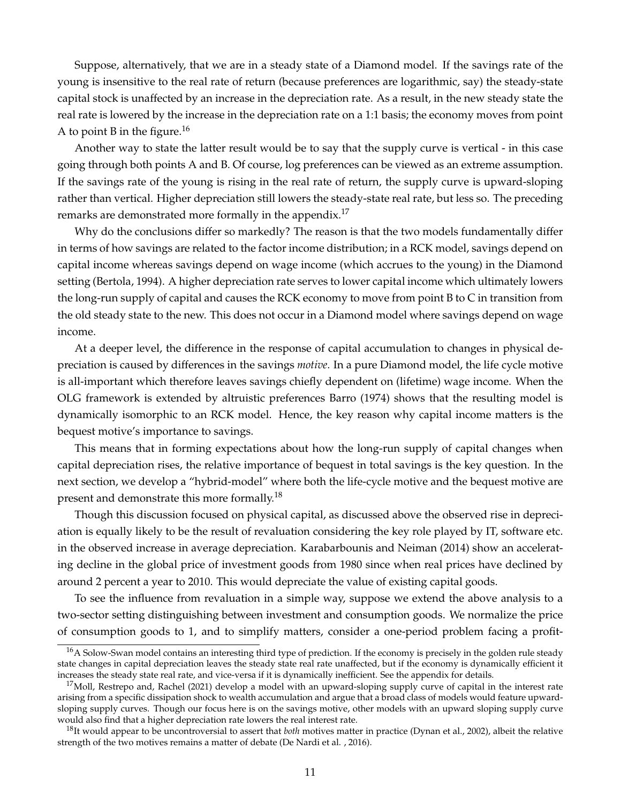Suppose, alternatively, that we are in a steady state of a Diamond model. If the savings rate of the young is insensitive to the real rate of return (because preferences are logarithmic, say) the steady-state capital stock is unaffected by an increase in the depreciation rate. As a result, in the new steady state the real rate is lowered by the increase in the depreciation rate on a 1:1 basis; the economy moves from point A to point B in the figure.<sup>16</sup>

Another way to state the latter result would be to say that the supply curve is vertical - in this case going through both points A and B. Of course, log preferences can be viewed as an extreme assumption. If the savings rate of the young is rising in the real rate of return, the supply curve is upward-sloping rather than vertical. Higher depreciation still lowers the steady-state real rate, but less so. The preceding remarks are demonstrated more formally in the appendix.<sup>17</sup>

Why do the conclusions differ so markedly? The reason is that the two models fundamentally differ in terms of how savings are related to the factor income distribution; in a RCK model, savings depend on capital income whereas savings depend on wage income (which accrues to the young) in the Diamond setting (Bertola, 1994). A higher depreciation rate serves to lower capital income which ultimately lowers the long-run supply of capital and causes the RCK economy to move from point B to C in transition from the old steady state to the new. This does not occur in a Diamond model where savings depend on wage income.

At a deeper level, the difference in the response of capital accumulation to changes in physical depreciation is caused by differences in the savings *motive*. In a pure Diamond model, the life cycle motive is all-important which therefore leaves savings chiefly dependent on (lifetime) wage income. When the OLG framework is extended by altruistic preferences Barro (1974) shows that the resulting model is dynamically isomorphic to an RCK model. Hence, the key reason why capital income matters is the bequest motive's importance to savings.

This means that in forming expectations about how the long-run supply of capital changes when capital depreciation rises, the relative importance of bequest in total savings is the key question. In the next section, we develop a "hybrid-model" where both the life-cycle motive and the bequest motive are present and demonstrate this more formally.<sup>18</sup>

Though this discussion focused on physical capital, as discussed above the observed rise in depreciation is equally likely to be the result of revaluation considering the key role played by IT, software etc. in the observed increase in average depreciation. Karabarbounis and Neiman (2014) show an accelerating decline in the global price of investment goods from 1980 since when real prices have declined by around 2 percent a year to 2010. This would depreciate the value of existing capital goods.

To see the influence from revaluation in a simple way, suppose we extend the above analysis to a two-sector setting distinguishing between investment and consumption goods. We normalize the price of consumption goods to 1, and to simplify matters, consider a one-period problem facing a profit-

<sup>&</sup>lt;sup>16</sup>A Solow-Swan model contains an interesting third type of prediction. If the economy is precisely in the golden rule steady state changes in capital depreciation leaves the steady state real rate unaffected, but if the economy is dynamically efficient it increases the steady state real rate, and vice-versa if it is dynamically inefficient. See the appendix for details.

 $17$ Moll, Restrepo and, Rachel (2021) develop a model with an upward-sloping supply curve of capital in the interest rate arising from a specific dissipation shock to wealth accumulation and argue that a broad class of models would feature upwardsloping supply curves. Though our focus here is on the savings motive, other models with an upward sloping supply curve would also find that a higher depreciation rate lowers the real interest rate.

<sup>18</sup>It would appear to be uncontroversial to assert that *both* motives matter in practice (Dynan et al., 2002), albeit the relative strength of the two motives remains a matter of debate (De Nardi et al. , 2016).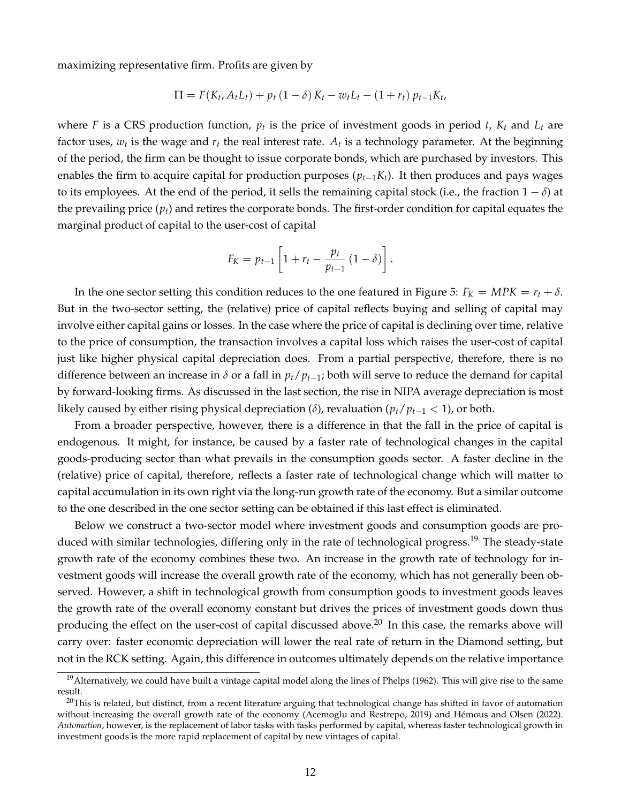maximizing representative firm. Profits are given by

$$
\Pi = F(K_t, A_t L_t) + p_t (1 - \delta) K_t - w_t L_t - (1 + r_t) p_{t-1} K_t,
$$

where F is a CRS production function,  $p_t$  is the price of investment goods in period  $t$ ,  $K_t$  and  $L_t$  are factor uses,  $w_t$  is the wage and  $r_t$  the real interest rate.  $A_t$  is a technology parameter. At the beginning of the period, the firm can be thought to issue corporate bonds, which are purchased by investors. This enables the firm to acquire capital for production purposes  $(p_{t-1}K_t)$ . It then produces and pays wages to its employees. At the end of the period, it sells the remaining capital stock (i.e., the fraction  $1 - \delta$ ) at the prevailing price  $(p_t)$  and retires the corporate bonds. The first-order condition for capital equates the marginal product of capital to the user-cost of capital

$$
F_K = p_{t-1} \left[ 1 + r_t - \frac{p_t}{p_{t-1}} \left( 1 - \delta \right) \right].
$$

In the one sector setting this condition reduces to the one featured in Figure 5:  $F_K = MPK = r_t + \delta$ . But in the two-sector setting, the (relative) price of capital reflects buying and selling of capital may involve either capital gains or losses. In the case where the price of capital is declining over time, relative to the price of consumption, the transaction involves a capital loss which raises the user-cost of capital just like higher physical capital depreciation does. From a partial perspective, therefore, there is no difference between an increase in  $\delta$  or a fall in  $p_t/p_{t-1}$ ; both will serve to reduce the demand for capital by forward-looking firms. As discussed in the last section, the rise in NIPA average depreciation is most likely caused by either rising physical depreciation ( $\delta$ ), revaluation ( $p_t/p_{t-1} < 1$ ), or both.

From a broader perspective, however, there is a difference in that the fall in the price of capital is endogenous. It might, for instance, be caused by a faster rate of technological changes in the capital goods-producing sector than what prevails in the consumption goods sector. A faster decline in the (relative) price of capital, therefore, reflects a faster rate of technological change which will matter to capital accumulation in its own right via the long-run growth rate of the economy. But a similar outcome to the one described in the one sector setting can be obtained if this last effect is eliminated.

Below we construct a two-sector model where investment goods and consumption goods are produced with similar technologies, differing only in the rate of technological progress.<sup>19</sup> The steady-state growth rate of the economy combines these two. An increase in the growth rate of technology for investment goods will increase the overall growth rate of the economy, which has not generally been observed. However, a shift in technological growth from consumption goods to investment goods leaves the growth rate of the overall economy constant but drives the prices of investment goods down thus producing the effect on the user-cost of capital discussed above.<sup>20</sup> In this case, the remarks above will carry over: faster economic depreciation will lower the real rate of return in the Diamond setting, but not in the RCK setting. Again, this difference in outcomes ultimately depends on the relative importance

<sup>&</sup>lt;sup>19</sup> Alternatively, we could have built a vintage capital model along the lines of Phelps (1962). This will give rise to the same result.

 $^{20}$ This is related, but distinct, from a recent literature arguing that technological change has shifted in favor of automation without increasing the overall growth rate of the economy (Acemoglu and Restrepo, 2019) and Hémous and Olsen (2022). *Automation*, however, is the replacement of labor tasks with tasks performed by capital, whereas faster technological growth in investment goods is the more rapid replacement of capital by new vintages of capital.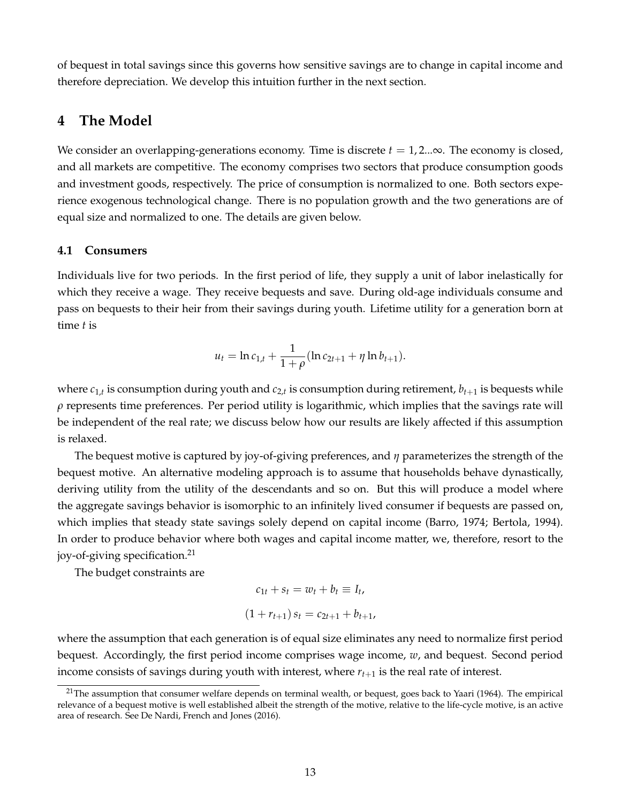of bequest in total savings since this governs how sensitive savings are to change in capital income and therefore depreciation. We develop this intuition further in the next section.

## **4 The Model**

We consider an overlapping-generations economy. Time is discrete  $t = 1, 2, \ldots, \infty$ . The economy is closed, and all markets are competitive. The economy comprises two sectors that produce consumption goods and investment goods, respectively. The price of consumption is normalized to one. Both sectors experience exogenous technological change. There is no population growth and the two generations are of equal size and normalized to one. The details are given below.

#### **4.1 Consumers**

Individuals live for two periods. In the first period of life, they supply a unit of labor inelastically for which they receive a wage. They receive bequests and save. During old-age individuals consume and pass on bequests to their heir from their savings during youth. Lifetime utility for a generation born at time *t* is

$$
u_t = \ln c_{1,t} + \frac{1}{1+\rho}(\ln c_{2t+1} + \eta \ln b_{t+1}).
$$

where  $c_{1,t}$  is consumption during youth and  $c_{2,t}$  is consumption during retirement,  $b_{t+1}$  is bequests while  $\rho$  represents time preferences. Per period utility is logarithmic, which implies that the savings rate will be independent of the real rate; we discuss below how our results are likely affected if this assumption is relaxed.

The bequest motive is captured by joy-of-giving preferences, and *η* parameterizes the strength of the bequest motive. An alternative modeling approach is to assume that households behave dynastically, deriving utility from the utility of the descendants and so on. But this will produce a model where the aggregate savings behavior is isomorphic to an infinitely lived consumer if bequests are passed on, which implies that steady state savings solely depend on capital income (Barro, 1974; Bertola, 1994). In order to produce behavior where both wages and capital income matter, we, therefore, resort to the joy-of-giving specification.<sup>21</sup>

The budget constraints are

$$
c_{1t} + s_t = w_t + b_t \equiv I_t,
$$
  
(1 + r<sub>t+1</sub>)  $s_t = c_{2t+1} + b_{t+1}$ ,

where the assumption that each generation is of equal size eliminates any need to normalize first period bequest. Accordingly, the first period income comprises wage income, *w*, and bequest. Second period income consists of savings during youth with interest, where  $r_{t+1}$  is the real rate of interest.

 $21$ The assumption that consumer welfare depends on terminal wealth, or bequest, goes back to Yaari (1964). The empirical relevance of a bequest motive is well established albeit the strength of the motive, relative to the life-cycle motive, is an active area of research. See De Nardi, French and Jones (2016).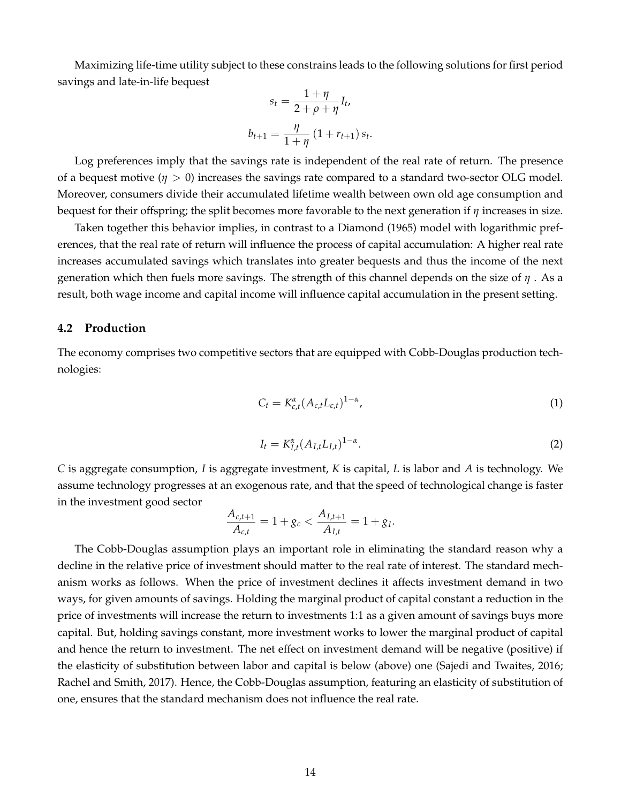Maximizing life-time utility subject to these constrains leads to the following solutions for first period savings and late-in-life bequest

$$
s_{t} = \frac{1 + \eta}{2 + \rho + \eta} I_{t},
$$
  

$$
b_{t+1} = \frac{\eta}{1 + \eta} (1 + r_{t+1}) s_{t}.
$$

Log preferences imply that the savings rate is independent of the real rate of return. The presence of a bequest motive  $(\eta > 0)$  increases the savings rate compared to a standard two-sector OLG model. Moreover, consumers divide their accumulated lifetime wealth between own old age consumption and bequest for their offspring; the split becomes more favorable to the next generation if *η* increases in size.

Taken together this behavior implies, in contrast to a Diamond (1965) model with logarithmic preferences, that the real rate of return will influence the process of capital accumulation: A higher real rate increases accumulated savings which translates into greater bequests and thus the income of the next generation which then fuels more savings. The strength of this channel depends on the size of *η* . As a result, both wage income and capital income will influence capital accumulation in the present setting.

#### **4.2 Production**

The economy comprises two competitive sectors that are equipped with Cobb-Douglas production technologies:

$$
C_t = K_{c,t}^{\alpha} (A_{c,t} L_{c,t})^{1-\alpha}, \qquad (1)
$$

$$
I_t = K_{I,t}^{\alpha} (A_{I,t} L_{I,t})^{1-\alpha}.
$$
 (2)

*C* is aggregate consumption, *I* is aggregate investment, *K* is capital, *L* is labor and *A* is technology. We assume technology progresses at an exogenous rate, and that the speed of technological change is faster in the investment good sector

$$
\frac{A_{c,t+1}}{A_{c,t}} = 1 + g_c < \frac{A_{I,t+1}}{A_{I,t}} = 1 + g_I.
$$

The Cobb-Douglas assumption plays an important role in eliminating the standard reason why a decline in the relative price of investment should matter to the real rate of interest. The standard mechanism works as follows. When the price of investment declines it affects investment demand in two ways, for given amounts of savings. Holding the marginal product of capital constant a reduction in the price of investments will increase the return to investments 1:1 as a given amount of savings buys more capital. But, holding savings constant, more investment works to lower the marginal product of capital and hence the return to investment. The net effect on investment demand will be negative (positive) if the elasticity of substitution between labor and capital is below (above) one (Sajedi and Twaites, 2016; Rachel and Smith, 2017). Hence, the Cobb-Douglas assumption, featuring an elasticity of substitution of one, ensures that the standard mechanism does not influence the real rate.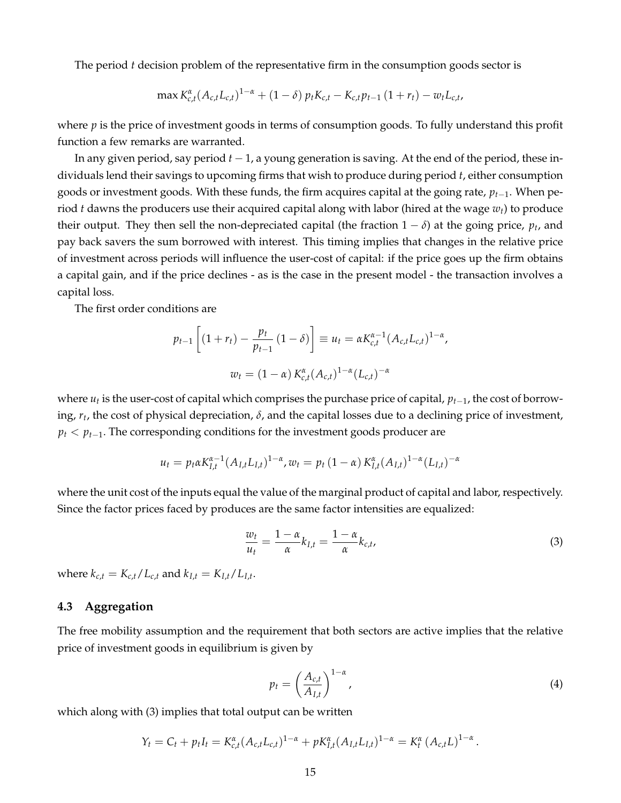The period *t* decision problem of the representative firm in the consumption goods sector is

$$
\max K_{c,t}^{\alpha}(A_{c,t}L_{c,t})^{1-\alpha} + (1-\delta) p_t K_{c,t} - K_{c,t} p_{t-1} (1+r_t) - w_t L_{c,t},
$$

where *p* is the price of investment goods in terms of consumption goods. To fully understand this profit function a few remarks are warranted.

In any given period, say period *t* − 1, a young generation is saving. At the end of the period, these individuals lend their savings to upcoming firms that wish to produce during period *t*, either consumption goods or investment goods. With these funds, the firm acquires capital at the going rate, *pt*−1. When period *t* dawns the producers use their acquired capital along with labor (hired at the wage *wt*) to produce their output. They then sell the non-depreciated capital (the fraction  $1 - \delta$ ) at the going price,  $p_t$ , and pay back savers the sum borrowed with interest. This timing implies that changes in the relative price of investment across periods will influence the user-cost of capital: if the price goes up the firm obtains a capital gain, and if the price declines - as is the case in the present model - the transaction involves a capital loss.

The first order conditions are

$$
p_{t-1} \left[ (1 + r_t) - \frac{p_t}{p_{t-1}} (1 - \delta) \right] \equiv u_t = \alpha K_{c,t}^{\alpha - 1} (A_{c,t} L_{c,t})^{1 - \alpha},
$$
  

$$
w_t = (1 - \alpha) K_{c,t}^{\alpha} (A_{c,t})^{1 - \alpha} (L_{c,t})^{-\alpha}
$$

where *u<sup>t</sup>* is the user-cost of capital which comprises the purchase price of capital, *pt*−1, the cost of borrowing, *r<sup>t</sup>* , the cost of physical depreciation, *δ*, and the capital losses due to a declining price of investment, *p*<sup>*t*</sup>  $\le$  *p*<sup>*t*</sup>−1. The corresponding conditions for the investment goods producer are

$$
u_t = p_t \alpha K_{I,t}^{\alpha-1} (A_{I,t} L_{I,t})^{1-\alpha}, w_t = p_t (1-\alpha) K_{I,t}^{\alpha} (A_{I,t})^{1-\alpha} (L_{I,t})^{-\alpha}
$$

where the unit cost of the inputs equal the value of the marginal product of capital and labor, respectively. Since the factor prices faced by produces are the same factor intensities are equalized:

$$
\frac{w_t}{u_t} = \frac{1 - \alpha}{\alpha} k_{I,t} = \frac{1 - \alpha}{\alpha} k_{c,t},
$$
\n(3)

where  $k_{c,t} = K_{c,t}/L_{c,t}$  and  $k_{I,t} = K_{I,t}/L_{I,t}$ .

#### **4.3 Aggregation**

The free mobility assumption and the requirement that both sectors are active implies that the relative price of investment goods in equilibrium is given by

$$
p_t = \left(\frac{A_{c,t}}{A_{I,t}}\right)^{1-\alpha},\tag{4}
$$

which along with (3) implies that total output can be written

$$
Y_t = C_t + p_t I_t = K_{c,t}^{\alpha} (A_{c,t} L_{c,t})^{1-\alpha} + p K_{I,t}^{\alpha} (A_{I,t} L_{I,t})^{1-\alpha} = K_t^{\alpha} (A_{c,t} L)^{1-\alpha}.
$$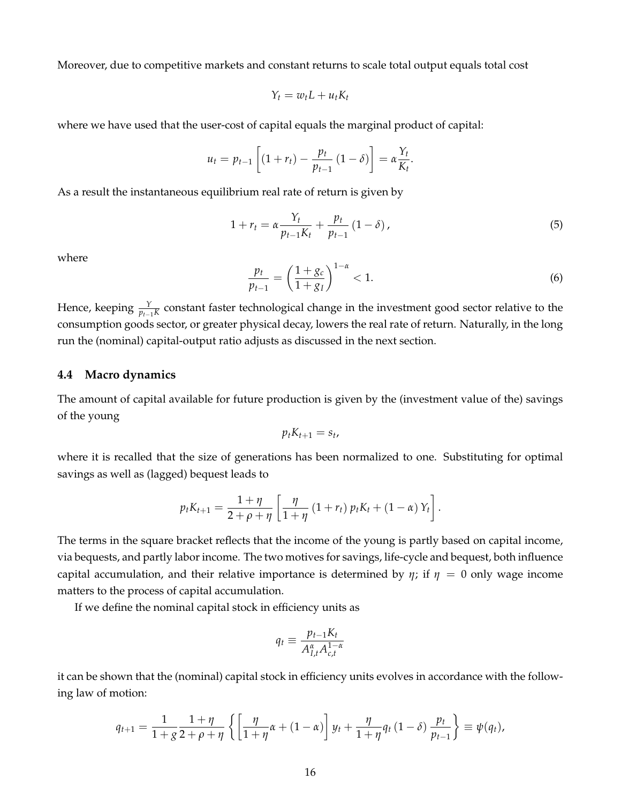Moreover, due to competitive markets and constant returns to scale total output equals total cost

$$
Y_t = w_t L + u_t K_t
$$

where we have used that the user-cost of capital equals the marginal product of capital:

$$
u_{t} = p_{t-1} \left[ (1 + r_{t}) - \frac{p_{t}}{p_{t-1}} (1 - \delta) \right] = \alpha \frac{Y_{t}}{K_{t}}.
$$

As a result the instantaneous equilibrium real rate of return is given by

$$
1 + r_t = \alpha \frac{Y_t}{p_{t-1} K_t} + \frac{p_t}{p_{t-1}} (1 - \delta),
$$
\n(5)

where

$$
\frac{p_t}{p_{t-1}} = \left(\frac{1+g_c}{1+g_I}\right)^{1-\alpha} < 1. \tag{6}
$$

Hence, keeping  $\frac{\gamma}{p_{t-1}K}$  constant faster technological change in the investment good sector relative to the consumption goods sector, or greater physical decay, lowers the real rate of return. Naturally, in the long run the (nominal) capital-output ratio adjusts as discussed in the next section.

#### **4.4 Macro dynamics**

The amount of capital available for future production is given by the (investment value of the) savings of the young

$$
p_t K_{t+1} = s_t,
$$

where it is recalled that the size of generations has been normalized to one. Substituting for optimal savings as well as (lagged) bequest leads to

$$
p_t K_{t+1} = \frac{1 + \eta}{2 + \rho + \eta} \left[ \frac{\eta}{1 + \eta} (1 + r_t) p_t K_t + (1 - \alpha) Y_t \right].
$$

The terms in the square bracket reflects that the income of the young is partly based on capital income, via bequests, and partly labor income. The two motives for savings, life-cycle and bequest, both influence capital accumulation, and their relative importance is determined by  $\eta$ ; if  $\eta = 0$  only wage income matters to the process of capital accumulation.

If we define the nominal capital stock in efficiency units as

$$
q_t \equiv \frac{p_{t-1}K_t}{A_{I,t}^{\alpha}A_{c,t}^{1-\alpha}}
$$

it can be shown that the (nominal) capital stock in efficiency units evolves in accordance with the following law of motion:

$$
q_{t+1} = \frac{1}{1+g} \frac{1+\eta}{2+\rho+\eta} \left\{ \left[ \frac{\eta}{1+\eta} \alpha + (1-\alpha) \right] y_t + \frac{\eta}{1+\eta} q_t (1-\delta) \frac{p_t}{p_{t-1}} \right\} \equiv \psi(q_t),
$$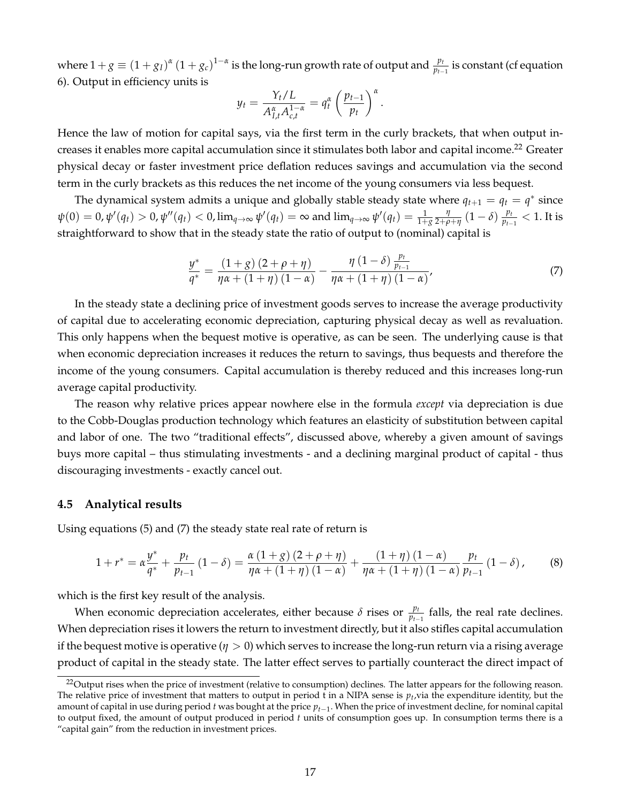where  $1+g\equiv (1+g_I)^{\alpha}(1+g_c)^{1-\alpha}$  is the long-run growth rate of output and  $\frac{p_t}{p_{t-1}}$  is constant (cf equation 6). Output in efficiency units is

$$
y_t = \frac{Y_t/L}{A_{I,t}^{\alpha} A_{c,t}^{1-\alpha}} = q_t^{\alpha} \left(\frac{p_{t-1}}{p_t}\right)^{\alpha}.
$$

Hence the law of motion for capital says, via the first term in the curly brackets, that when output increases it enables more capital accumulation since it stimulates both labor and capital income.<sup>22</sup> Greater physical decay or faster investment price deflation reduces savings and accumulation via the second term in the curly brackets as this reduces the net income of the young consumers via less bequest.

The dynamical system admits a unique and globally stable steady state where  $q_{t+1} = q_t = q^*$  since  $\psi(0)=0$ ,  $\psi'(q_t)>0$ ,  $\psi''(q_t)<0$ ,  $\lim_{q\to\infty}\psi'(q_t)=\infty$  and  $\lim_{q\to\infty}\psi'(q_t)=\frac{1}{1+g}\frac{\eta}{2+\rho+\eta}\left(1-\delta\right)\frac{p_t}{p_{t-1}}$  $\frac{p_t}{p_{t-1}} < 1$ . It is straightforward to show that in the steady state the ratio of output to (nominal) capital is

$$
\frac{y^*}{q^*} = \frac{(1+g)(2+\rho+\eta)}{\eta\alpha + (1+\eta)(1-\alpha)} - \frac{\eta(1-\delta)\frac{p_t}{p_{t-1}}}{\eta\alpha + (1+\eta)(1-\alpha)},\tag{7}
$$

In the steady state a declining price of investment goods serves to increase the average productivity of capital due to accelerating economic depreciation, capturing physical decay as well as revaluation. This only happens when the bequest motive is operative, as can be seen. The underlying cause is that when economic depreciation increases it reduces the return to savings, thus bequests and therefore the income of the young consumers. Capital accumulation is thereby reduced and this increases long-run average capital productivity.

The reason why relative prices appear nowhere else in the formula *except* via depreciation is due to the Cobb-Douglas production technology which features an elasticity of substitution between capital and labor of one. The two "traditional effects", discussed above, whereby a given amount of savings buys more capital – thus stimulating investments - and a declining marginal product of capital - thus discouraging investments - exactly cancel out.

#### **4.5 Analytical results**

Using equations (5) and (7) the steady state real rate of return is

$$
1 + r^* = \alpha \frac{y^*}{q^*} + \frac{p_t}{p_{t-1}} (1 - \delta) = \frac{\alpha (1 + g)(2 + \rho + \eta)}{\eta \alpha + (1 + \eta)(1 - \alpha)} + \frac{(1 + \eta)(1 - \alpha)}{\eta \alpha + (1 + \eta)(1 - \alpha)} \frac{p_t}{p_{t-1}} (1 - \delta), \tag{8}
$$

which is the first key result of the analysis.

When economic depreciation accelerates, either because  $\delta$  rises or  $\frac{p_t}{p_{t-1}}$  falls, the real rate declines. When depreciation rises it lowers the return to investment directly, but it also stifles capital accumulation if the bequest motive is operative (*η* > 0) which serves to increase the long-run return via a rising average product of capital in the steady state. The latter effect serves to partially counteract the direct impact of

<sup>&</sup>lt;sup>22</sup>Output rises when the price of investment (relative to consumption) declines. The latter appears for the following reason. The relative price of investment that matters to output in period t in a NIPA sense is  $p_t$ , via the expenditure identity, but the amount of capital in use during period *t* was bought at the price *pt*−<sup>1</sup> . When the price of investment decline, for nominal capital to output fixed, the amount of output produced in period *t* units of consumption goes up. In consumption terms there is a "capital gain" from the reduction in investment prices.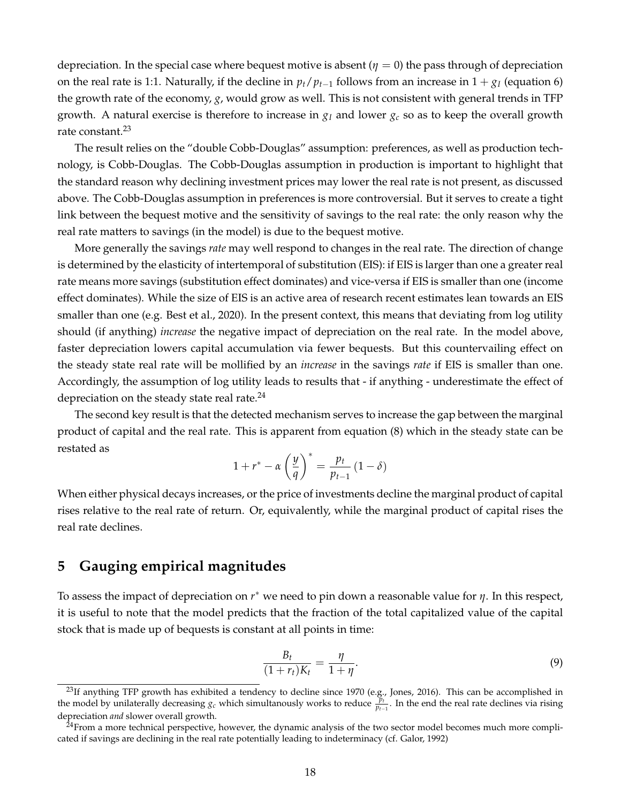depreciation. In the special case where bequest motive is absent  $(\eta = 0)$  the pass through of depreciation on the real rate is 1:1. Naturally, if the decline in  $p_t/p_{t-1}$  follows from an increase in  $1 + g_I$  (equation 6) the growth rate of the economy, *g*, would grow as well. This is not consistent with general trends in TFP growth. A natural exercise is therefore to increase in *g<sup>I</sup>* and lower *g<sup>c</sup>* so as to keep the overall growth rate constant.<sup>23</sup>

The result relies on the "double Cobb-Douglas" assumption: preferences, as well as production technology, is Cobb-Douglas. The Cobb-Douglas assumption in production is important to highlight that the standard reason why declining investment prices may lower the real rate is not present, as discussed above. The Cobb-Douglas assumption in preferences is more controversial. But it serves to create a tight link between the bequest motive and the sensitivity of savings to the real rate: the only reason why the real rate matters to savings (in the model) is due to the bequest motive.

More generally the savings *rate* may well respond to changes in the real rate. The direction of change is determined by the elasticity of intertemporal of substitution (EIS): if EIS is larger than one a greater real rate means more savings (substitution effect dominates) and vice-versa if EIS is smaller than one (income effect dominates). While the size of EIS is an active area of research recent estimates lean towards an EIS smaller than one (e.g. Best et al., 2020). In the present context, this means that deviating from log utility should (if anything) *increase* the negative impact of depreciation on the real rate. In the model above, faster depreciation lowers capital accumulation via fewer bequests. But this countervailing effect on the steady state real rate will be mollified by an *increase* in the savings *rate* if EIS is smaller than one. Accordingly, the assumption of log utility leads to results that - if anything - underestimate the effect of depreciation on the steady state real rate. $^{24}$ 

The second key result is that the detected mechanism serves to increase the gap between the marginal product of capital and the real rate. This is apparent from equation (8) which in the steady state can be restated as

$$
1 + r^* - \alpha \left(\frac{y}{q}\right)^* = \frac{p_t}{p_{t-1}} \left(1 - \delta\right)
$$

When either physical decays increases, or the price of investments decline the marginal product of capital rises relative to the real rate of return. Or, equivalently, while the marginal product of capital rises the real rate declines.

## **5 Gauging empirical magnitudes**

To assess the impact of depreciation on *r* <sup>∗</sup> we need to pin down a reasonable value for *η*. In this respect, it is useful to note that the model predicts that the fraction of the total capitalized value of the capital stock that is made up of bequests is constant at all points in time:

$$
\frac{B_t}{(1+r_t)K_t} = \frac{\eta}{1+\eta}.\tag{9}
$$

 $^{23}$ If anything TFP growth has exhibited a tendency to decline since 1970 (e.g., Jones, 2016). This can be accomplished in the model by unilaterally decreasing  $g_c$  which simultanously works to reduce  $\frac{p_t}{p_{t-1}}$ . In the end the real rate declines via rising depreciation *and* slower overall growth.

 $24$ From a more technical perspective, however, the dynamic analysis of the two sector model becomes much more complicated if savings are declining in the real rate potentially leading to indeterminacy (cf. Galor, 1992)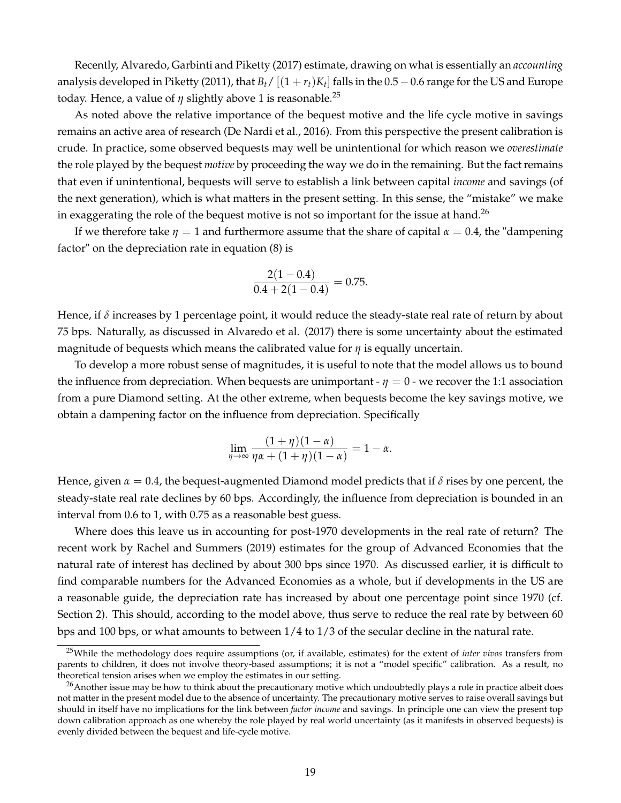Recently, Alvaredo, Garbinti and Piketty (2017) estimate, drawing on what is essentially an *accounting* analysis developed in Piketty (2011), that  $B_t/[(1 + r_t)K_t]$  falls in the 0.5 – 0.6 range for the US and Europe today. Hence, a value of  $\eta$  slightly above 1 is reasonable.<sup>25</sup>

As noted above the relative importance of the bequest motive and the life cycle motive in savings remains an active area of research (De Nardi et al., 2016). From this perspective the present calibration is crude. In practice, some observed bequests may well be unintentional for which reason we *overestimate* the role played by the bequest *motive* by proceeding the way we do in the remaining. But the fact remains that even if unintentional, bequests will serve to establish a link between capital *income* and savings (of the next generation), which is what matters in the present setting. In this sense, the "mistake" we make in exaggerating the role of the bequest motive is not so important for the issue at hand.<sup>26</sup>

If we therefore take  $\eta = 1$  and furthermore assume that the share of capital  $\alpha = 0.4$ , the "dampening" factor" on the depreciation rate in equation (8) is

$$
\frac{2(1-0.4)}{0.4+2(1-0.4)} = 0.75.
$$

Hence, if *δ* increases by 1 percentage point, it would reduce the steady-state real rate of return by about 75 bps. Naturally, as discussed in Alvaredo et al. (2017) there is some uncertainty about the estimated magnitude of bequests which means the calibrated value for *η* is equally uncertain.

To develop a more robust sense of magnitudes, it is useful to note that the model allows us to bound the influence from depreciation. When bequests are unimportant  $-\eta = 0$  - we recover the 1:1 association from a pure Diamond setting. At the other extreme, when bequests become the key savings motive, we obtain a dampening factor on the influence from depreciation. Specifically

$$
\lim_{\eta \to \infty} \frac{(1+\eta)(1-\alpha)}{\eta \alpha + (1+\eta)(1-\alpha)} = 1 - \alpha.
$$

Hence, given  $\alpha = 0.4$ , the bequest-augmented Diamond model predicts that if  $\delta$  rises by one percent, the steady-state real rate declines by 60 bps. Accordingly, the influence from depreciation is bounded in an interval from 0.6 to 1, with 0.75 as a reasonable best guess.

Where does this leave us in accounting for post-1970 developments in the real rate of return? The recent work by Rachel and Summers (2019) estimates for the group of Advanced Economies that the natural rate of interest has declined by about 300 bps since 1970. As discussed earlier, it is difficult to find comparable numbers for the Advanced Economies as a whole, but if developments in the US are a reasonable guide, the depreciation rate has increased by about one percentage point since 1970 (cf. Section 2). This should, according to the model above, thus serve to reduce the real rate by between 60 bps and 100 bps, or what amounts to between 1/4 to 1/3 of the secular decline in the natural rate.

<sup>25</sup>While the methodology does require assumptions (or, if available, estimates) for the extent of *inter vivos* transfers from parents to children, it does not involve theory-based assumptions; it is not a "model specific" calibration. As a result, no theoretical tension arises when we employ the estimates in our setting.

 $^{26}$ Another issue may be how to think about the precautionary motive which undoubtedly plays a role in practice albeit does not matter in the present model due to the absence of uncertainty. The precautionary motive serves to raise overall savings but should in itself have no implications for the link between *factor income* and savings. In principle one can view the present top down calibration approach as one whereby the role played by real world uncertainty (as it manifests in observed bequests) is evenly divided between the bequest and life-cycle motive.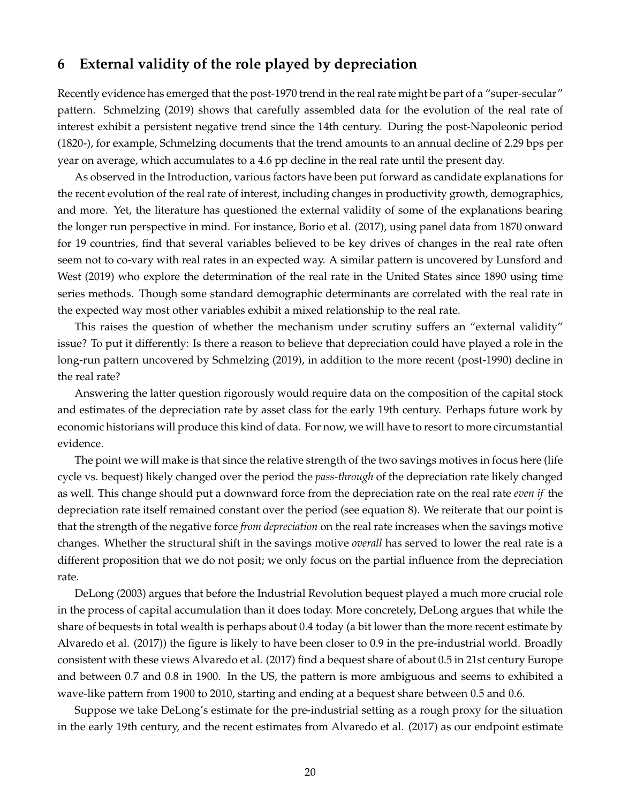## **6 External validity of the role played by depreciation**

Recently evidence has emerged that the post-1970 trend in the real rate might be part of a "super-secular" pattern. Schmelzing (2019) shows that carefully assembled data for the evolution of the real rate of interest exhibit a persistent negative trend since the 14th century. During the post-Napoleonic period (1820-), for example, Schmelzing documents that the trend amounts to an annual decline of 2.29 bps per year on average, which accumulates to a 4.6 pp decline in the real rate until the present day.

As observed in the Introduction, various factors have been put forward as candidate explanations for the recent evolution of the real rate of interest, including changes in productivity growth, demographics, and more. Yet, the literature has questioned the external validity of some of the explanations bearing the longer run perspective in mind. For instance, Borio et al. (2017), using panel data from 1870 onward for 19 countries, find that several variables believed to be key drives of changes in the real rate often seem not to co-vary with real rates in an expected way. A similar pattern is uncovered by Lunsford and West (2019) who explore the determination of the real rate in the United States since 1890 using time series methods. Though some standard demographic determinants are correlated with the real rate in the expected way most other variables exhibit a mixed relationship to the real rate.

This raises the question of whether the mechanism under scrutiny suffers an "external validity" issue? To put it differently: Is there a reason to believe that depreciation could have played a role in the long-run pattern uncovered by Schmelzing (2019), in addition to the more recent (post-1990) decline in the real rate?

Answering the latter question rigorously would require data on the composition of the capital stock and estimates of the depreciation rate by asset class for the early 19th century. Perhaps future work by economic historians will produce this kind of data. For now, we will have to resort to more circumstantial evidence.

The point we will make is that since the relative strength of the two savings motives in focus here (life cycle vs. bequest) likely changed over the period the *pass-through* of the depreciation rate likely changed as well. This change should put a downward force from the depreciation rate on the real rate *even if* the depreciation rate itself remained constant over the period (see equation 8). We reiterate that our point is that the strength of the negative force *from depreciation* on the real rate increases when the savings motive changes. Whether the structural shift in the savings motive *overall* has served to lower the real rate is a different proposition that we do not posit; we only focus on the partial influence from the depreciation rate.

DeLong (2003) argues that before the Industrial Revolution bequest played a much more crucial role in the process of capital accumulation than it does today. More concretely, DeLong argues that while the share of bequests in total wealth is perhaps about 0.4 today (a bit lower than the more recent estimate by Alvaredo et al. (2017)) the figure is likely to have been closer to 0.9 in the pre-industrial world. Broadly consistent with these views Alvaredo et al. (2017) find a bequest share of about 0.5 in 21st century Europe and between 0.7 and 0.8 in 1900. In the US, the pattern is more ambiguous and seems to exhibited a wave-like pattern from 1900 to 2010, starting and ending at a bequest share between 0.5 and 0.6.

Suppose we take DeLong's estimate for the pre-industrial setting as a rough proxy for the situation in the early 19th century, and the recent estimates from Alvaredo et al. (2017) as our endpoint estimate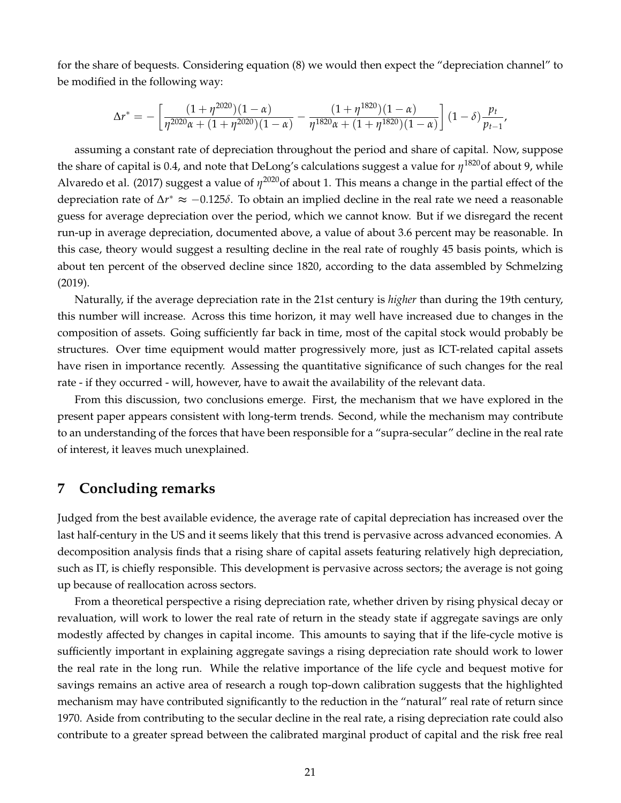for the share of bequests. Considering equation (8) we would then expect the "depreciation channel" to be modified in the following way:

$$
\Delta r^* = -\left[\frac{(1+\eta^{2020})(1-\alpha)}{\eta^{2020}\alpha + (1+\eta^{2020})(1-\alpha)} - \frac{(1+\eta^{1820})(1-\alpha)}{\eta^{1820}\alpha + (1+\eta^{1820})(1-\alpha)}\right](1-\delta)\frac{p_t}{p_{t-1}},
$$

assuming a constant rate of depreciation throughout the period and share of capital. Now, suppose the share of capital is 0.4, and note that DeLong's calculations suggest a value for  $\eta^{1820}$ of about 9, while Alvaredo et al. (2017) suggest a value of  $η^{2020}$ of about 1. This means a change in the partial effect of the depreciation rate of ∆*r* <sup>∗</sup> ≈ −0.125*δ*. To obtain an implied decline in the real rate we need a reasonable guess for average depreciation over the period, which we cannot know. But if we disregard the recent run-up in average depreciation, documented above, a value of about 3.6 percent may be reasonable. In this case, theory would suggest a resulting decline in the real rate of roughly 45 basis points, which is about ten percent of the observed decline since 1820, according to the data assembled by Schmelzing (2019).

Naturally, if the average depreciation rate in the 21st century is *higher* than during the 19th century, this number will increase. Across this time horizon, it may well have increased due to changes in the composition of assets. Going sufficiently far back in time, most of the capital stock would probably be structures. Over time equipment would matter progressively more, just as ICT-related capital assets have risen in importance recently. Assessing the quantitative significance of such changes for the real rate - if they occurred - will, however, have to await the availability of the relevant data.

From this discussion, two conclusions emerge. First, the mechanism that we have explored in the present paper appears consistent with long-term trends. Second, while the mechanism may contribute to an understanding of the forces that have been responsible for a "supra-secular" decline in the real rate of interest, it leaves much unexplained.

## **7 Concluding remarks**

Judged from the best available evidence, the average rate of capital depreciation has increased over the last half-century in the US and it seems likely that this trend is pervasive across advanced economies. A decomposition analysis finds that a rising share of capital assets featuring relatively high depreciation, such as IT, is chiefly responsible. This development is pervasive across sectors; the average is not going up because of reallocation across sectors.

From a theoretical perspective a rising depreciation rate, whether driven by rising physical decay or revaluation, will work to lower the real rate of return in the steady state if aggregate savings are only modestly affected by changes in capital income. This amounts to saying that if the life-cycle motive is sufficiently important in explaining aggregate savings a rising depreciation rate should work to lower the real rate in the long run. While the relative importance of the life cycle and bequest motive for savings remains an active area of research a rough top-down calibration suggests that the highlighted mechanism may have contributed significantly to the reduction in the "natural" real rate of return since 1970. Aside from contributing to the secular decline in the real rate, a rising depreciation rate could also contribute to a greater spread between the calibrated marginal product of capital and the risk free real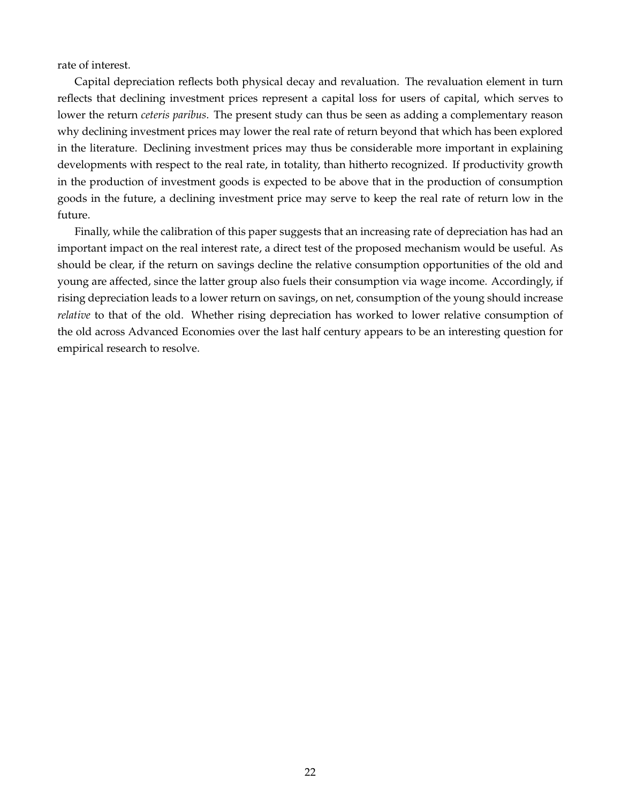rate of interest.

Capital depreciation reflects both physical decay and revaluation. The revaluation element in turn reflects that declining investment prices represent a capital loss for users of capital, which serves to lower the return *ceteris paribus*. The present study can thus be seen as adding a complementary reason why declining investment prices may lower the real rate of return beyond that which has been explored in the literature. Declining investment prices may thus be considerable more important in explaining developments with respect to the real rate, in totality, than hitherto recognized. If productivity growth in the production of investment goods is expected to be above that in the production of consumption goods in the future, a declining investment price may serve to keep the real rate of return low in the future.

Finally, while the calibration of this paper suggests that an increasing rate of depreciation has had an important impact on the real interest rate, a direct test of the proposed mechanism would be useful. As should be clear, if the return on savings decline the relative consumption opportunities of the old and young are affected, since the latter group also fuels their consumption via wage income. Accordingly, if rising depreciation leads to a lower return on savings, on net, consumption of the young should increase *relative* to that of the old. Whether rising depreciation has worked to lower relative consumption of the old across Advanced Economies over the last half century appears to be an interesting question for empirical research to resolve.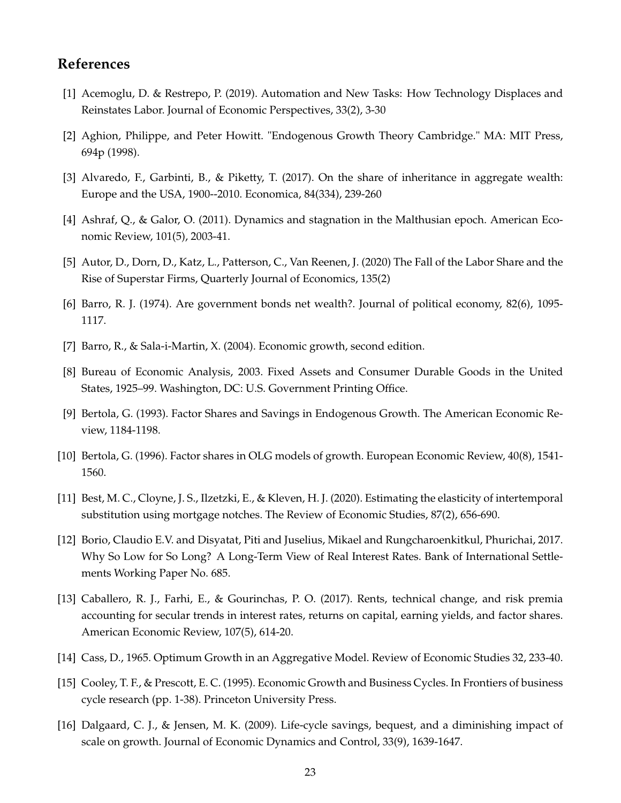## **References**

- [1] Acemoglu, D. & Restrepo, P. (2019). Automation and New Tasks: How Technology Displaces and Reinstates Labor. Journal of Economic Perspectives, 33(2), 3-30
- [2] Aghion, Philippe, and Peter Howitt. "Endogenous Growth Theory Cambridge." MA: MIT Press, 694p (1998).
- [3] Alvaredo, F., Garbinti, B., & Piketty, T. (2017). On the share of inheritance in aggregate wealth: Europe and the USA, 1900--2010. Economica, 84(334), 239-260
- [4] Ashraf, Q., & Galor, O. (2011). Dynamics and stagnation in the Malthusian epoch. American Economic Review, 101(5), 2003-41.
- [5] Autor, D., Dorn, D., Katz, L., Patterson, C., Van Reenen, J. (2020) The Fall of the Labor Share and the Rise of Superstar Firms, Quarterly Journal of Economics, 135(2)
- [6] Barro, R. J. (1974). Are government bonds net wealth?. Journal of political economy, 82(6), 1095- 1117.
- [7] Barro, R., & Sala-i-Martin, X. (2004). Economic growth, second edition.
- [8] Bureau of Economic Analysis, 2003. Fixed Assets and Consumer Durable Goods in the United States, 1925–99. Washington, DC: U.S. Government Printing Office.
- [9] Bertola, G. (1993). Factor Shares and Savings in Endogenous Growth. The American Economic Review, 1184-1198.
- [10] Bertola, G. (1996). Factor shares in OLG models of growth. European Economic Review, 40(8), 1541- 1560.
- [11] Best, M. C., Cloyne, J. S., Ilzetzki, E., & Kleven, H. J. (2020). Estimating the elasticity of intertemporal substitution using mortgage notches. The Review of Economic Studies, 87(2), 656-690.
- [12] Borio, Claudio E.V. and Disyatat, Piti and Juselius, Mikael and Rungcharoenkitkul, Phurichai, 2017. Why So Low for So Long? A Long-Term View of Real Interest Rates. Bank of International Settlements Working Paper No. 685.
- [13] Caballero, R. J., Farhi, E., & Gourinchas, P. O. (2017). Rents, technical change, and risk premia accounting for secular trends in interest rates, returns on capital, earning yields, and factor shares. American Economic Review, 107(5), 614-20.
- [14] Cass, D., 1965. Optimum Growth in an Aggregative Model. Review of Economic Studies 32, 233-40.
- [15] Cooley, T. F., & Prescott, E. C. (1995). Economic Growth and Business Cycles. In Frontiers of business cycle research (pp. 1-38). Princeton University Press.
- [16] Dalgaard, C. J., & Jensen, M. K. (2009). Life-cycle savings, bequest, and a diminishing impact of scale on growth. Journal of Economic Dynamics and Control, 33(9), 1639-1647.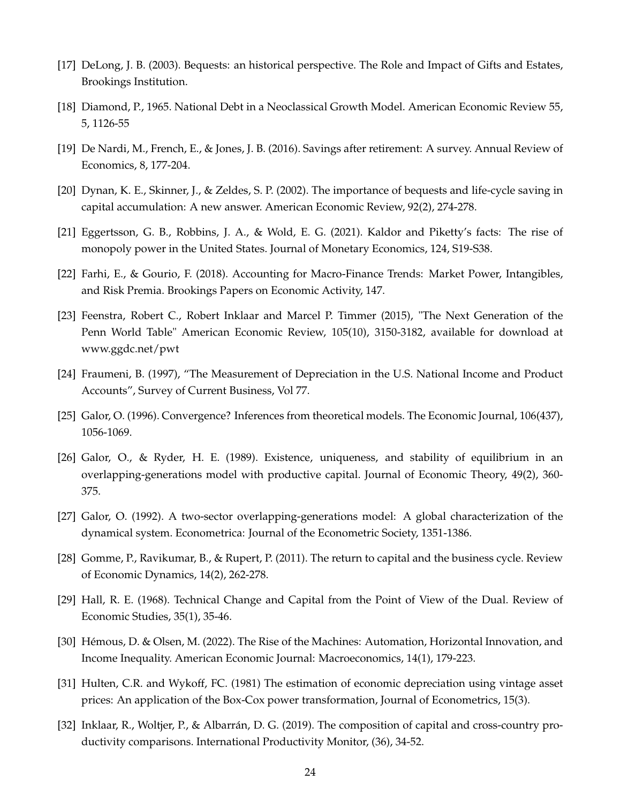- [17] DeLong, J. B. (2003). Bequests: an historical perspective. The Role and Impact of Gifts and Estates, Brookings Institution.
- [18] Diamond, P., 1965. National Debt in a Neoclassical Growth Model. American Economic Review 55, 5, 1126-55
- [19] De Nardi, M., French, E., & Jones, J. B. (2016). Savings after retirement: A survey. Annual Review of Economics, 8, 177-204.
- [20] Dynan, K. E., Skinner, J., & Zeldes, S. P. (2002). The importance of bequests and life-cycle saving in capital accumulation: A new answer. American Economic Review, 92(2), 274-278.
- [21] Eggertsson, G. B., Robbins, J. A., & Wold, E. G. (2021). Kaldor and Piketty's facts: The rise of monopoly power in the United States. Journal of Monetary Economics, 124, S19-S38.
- [22] Farhi, E., & Gourio, F. (2018). Accounting for Macro-Finance Trends: Market Power, Intangibles, and Risk Premia. Brookings Papers on Economic Activity, 147.
- [23] Feenstra, Robert C., Robert Inklaar and Marcel P. Timmer (2015), "The Next Generation of the Penn World Table" American Economic Review, 105(10), 3150-3182, available for download at www.ggdc.net/pwt
- [24] Fraumeni, B. (1997), "The Measurement of Depreciation in the U.S. National Income and Product Accounts", Survey of Current Business, Vol 77.
- [25] Galor, O. (1996). Convergence? Inferences from theoretical models. The Economic Journal, 106(437), 1056-1069.
- [26] Galor, O., & Ryder, H. E. (1989). Existence, uniqueness, and stability of equilibrium in an overlapping-generations model with productive capital. Journal of Economic Theory, 49(2), 360- 375.
- [27] Galor, O. (1992). A two-sector overlapping-generations model: A global characterization of the dynamical system. Econometrica: Journal of the Econometric Society, 1351-1386.
- [28] Gomme, P., Ravikumar, B., & Rupert, P. (2011). The return to capital and the business cycle. Review of Economic Dynamics, 14(2), 262-278.
- [29] Hall, R. E. (1968). Technical Change and Capital from the Point of View of the Dual. Review of Economic Studies, 35(1), 35-46.
- [30] Hémous, D. & Olsen, M. (2022). The Rise of the Machines: Automation, Horizontal Innovation, and Income Inequality. American Economic Journal: Macroeconomics, 14(1), 179-223.
- [31] Hulten, C.R. and Wykoff, FC. (1981) The estimation of economic depreciation using vintage asset prices: An application of the Box-Cox power transformation, Journal of Econometrics, 15(3).
- [32] Inklaar, R., Woltjer, P., & Albarrán, D. G. (2019). The composition of capital and cross-country productivity comparisons. International Productivity Monitor, (36), 34-52.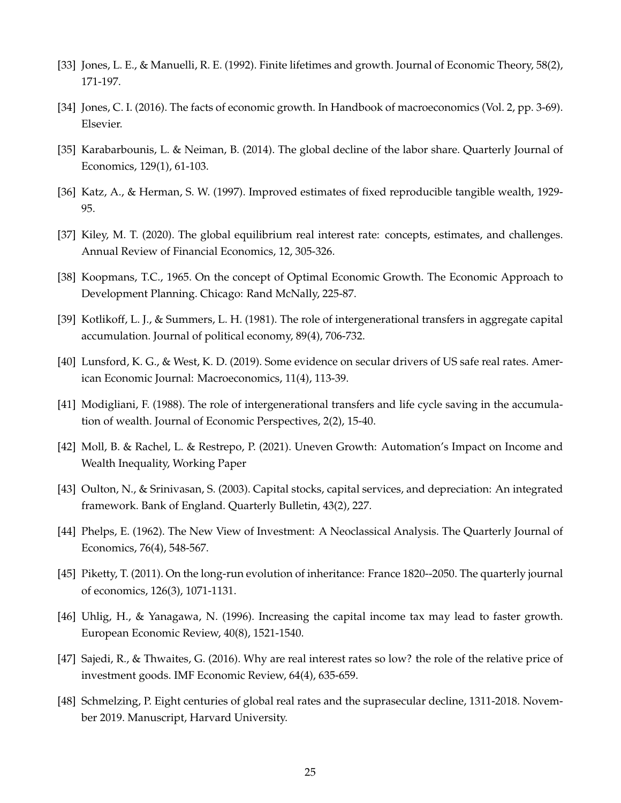- [33] Jones, L. E., & Manuelli, R. E. (1992). Finite lifetimes and growth. Journal of Economic Theory, 58(2), 171-197.
- [34] Jones, C. I. (2016). The facts of economic growth. In Handbook of macroeconomics (Vol. 2, pp. 3-69). Elsevier.
- [35] Karabarbounis, L. & Neiman, B. (2014). The global decline of the labor share. Quarterly Journal of Economics, 129(1), 61-103.
- [36] Katz, A., & Herman, S. W. (1997). Improved estimates of fixed reproducible tangible wealth, 1929- 95.
- [37] Kiley, M. T. (2020). The global equilibrium real interest rate: concepts, estimates, and challenges. Annual Review of Financial Economics, 12, 305-326.
- [38] Koopmans, T.C., 1965. On the concept of Optimal Economic Growth. The Economic Approach to Development Planning. Chicago: Rand McNally, 225-87.
- [39] Kotlikoff, L. J., & Summers, L. H. (1981). The role of intergenerational transfers in aggregate capital accumulation. Journal of political economy, 89(4), 706-732.
- [40] Lunsford, K. G., & West, K. D. (2019). Some evidence on secular drivers of US safe real rates. American Economic Journal: Macroeconomics, 11(4), 113-39.
- [41] Modigliani, F. (1988). The role of intergenerational transfers and life cycle saving in the accumulation of wealth. Journal of Economic Perspectives, 2(2), 15-40.
- [42] Moll, B. & Rachel, L. & Restrepo, P. (2021). Uneven Growth: Automation's Impact on Income and Wealth Inequality, Working Paper
- [43] Oulton, N., & Srinivasan, S. (2003). Capital stocks, capital services, and depreciation: An integrated framework. Bank of England. Quarterly Bulletin, 43(2), 227.
- [44] Phelps, E. (1962). The New View of Investment: A Neoclassical Analysis. The Quarterly Journal of Economics, 76(4), 548-567.
- [45] Piketty, T. (2011). On the long-run evolution of inheritance: France 1820--2050. The quarterly journal of economics, 126(3), 1071-1131.
- [46] Uhlig, H., & Yanagawa, N. (1996). Increasing the capital income tax may lead to faster growth. European Economic Review, 40(8), 1521-1540.
- [47] Sajedi, R., & Thwaites, G. (2016). Why are real interest rates so low? the role of the relative price of investment goods. IMF Economic Review, 64(4), 635-659.
- [48] Schmelzing, P. Eight centuries of global real rates and the suprasecular decline, 1311-2018. November 2019. Manuscript, Harvard University.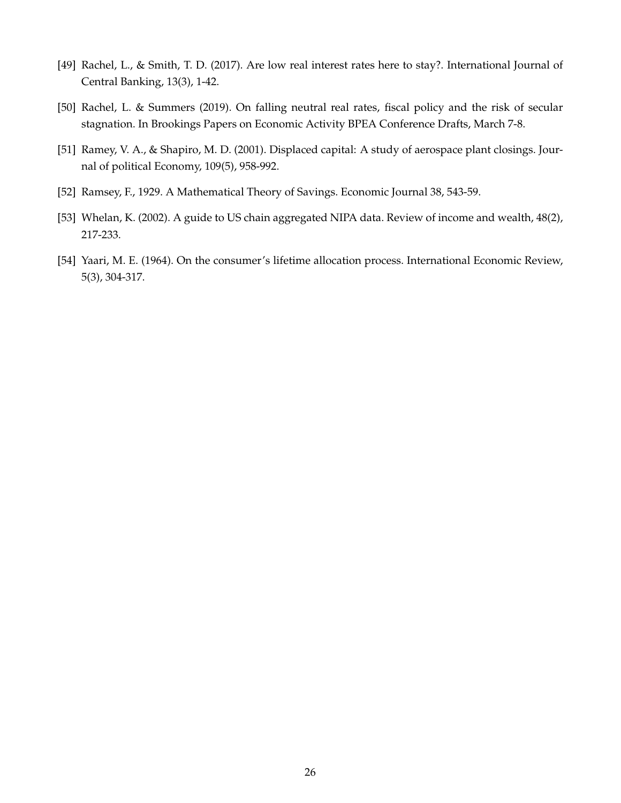- [49] Rachel, L., & Smith, T. D. (2017). Are low real interest rates here to stay?. International Journal of Central Banking, 13(3), 1-42.
- [50] Rachel, L. & Summers (2019). On falling neutral real rates, fiscal policy and the risk of secular stagnation. In Brookings Papers on Economic Activity BPEA Conference Drafts, March 7-8.
- [51] Ramey, V. A., & Shapiro, M. D. (2001). Displaced capital: A study of aerospace plant closings. Journal of political Economy, 109(5), 958-992.
- [52] Ramsey, F., 1929. A Mathematical Theory of Savings. Economic Journal 38, 543-59.
- [53] Whelan, K. (2002). A guide to US chain aggregated NIPA data. Review of income and wealth, 48(2), 217-233.
- [54] Yaari, M. E. (1964). On the consumer's lifetime allocation process. International Economic Review, 5(3), 304-317.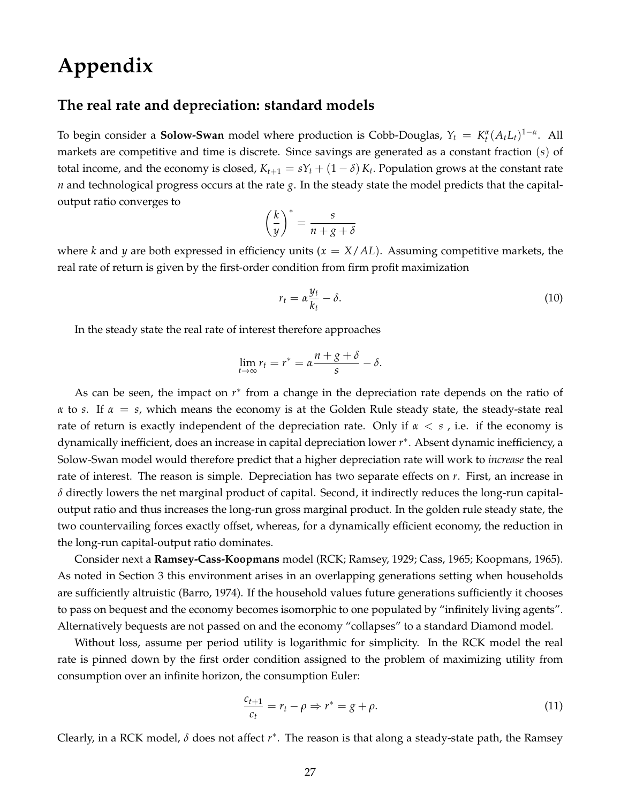# **Appendix**

## **The real rate and depreciation: standard models**

To begin consider a **Solow-Swan** model where production is Cobb-Douglas,  $Y_t = K_t^{\alpha} (A_t L_t)^{1-\alpha}$ . All markets are competitive and time is discrete. Since savings are generated as a constant fraction (*s*) of total income, and the economy is closed,  $K_{t+1} = sY_t + (1 - \delta) K_t$ . Population grows at the constant rate *n* and technological progress occurs at the rate *g*. In the steady state the model predicts that the capitaloutput ratio converges to

$$
\left(\frac{k}{y}\right)^* = \frac{s}{n+g+\delta}
$$

where *k* and *y* are both expressed in efficiency units ( $x = X/AL$ ). Assuming competitive markets, the real rate of return is given by the first-order condition from firm profit maximization

$$
r_t = \alpha \frac{y_t}{k_t} - \delta. \tag{10}
$$

In the steady state the real rate of interest therefore approaches

$$
\lim_{t\to\infty}r_t=r^*=\alpha\frac{n+g+\delta}{s}-\delta.
$$

As can be seen, the impact on  $r^*$  from a change in the depreciation rate depends on the ratio of *α* to *s*. If *α* = *s*, which means the economy is at the Golden Rule steady state, the steady-state real rate of return is exactly independent of the depreciation rate. Only if *α* < *s* , i.e. if the economy is dynamically inefficient, does an increase in capital depreciation lower *r* ∗ . Absent dynamic inefficiency, a Solow-Swan model would therefore predict that a higher depreciation rate will work to *increase* the real rate of interest. The reason is simple. Depreciation has two separate effects on *r*. First, an increase in  $\delta$  directly lowers the net marginal product of capital. Second, it indirectly reduces the long-run capitaloutput ratio and thus increases the long-run gross marginal product. In the golden rule steady state, the two countervailing forces exactly offset, whereas, for a dynamically efficient economy, the reduction in the long-run capital-output ratio dominates.

Consider next a **Ramsey-Cass-Koopmans** model (RCK; Ramsey, 1929; Cass, 1965; Koopmans, 1965). As noted in Section 3 this environment arises in an overlapping generations setting when households are sufficiently altruistic (Barro, 1974). If the household values future generations sufficiently it chooses to pass on bequest and the economy becomes isomorphic to one populated by "infinitely living agents". Alternatively bequests are not passed on and the economy "collapses" to a standard Diamond model.

Without loss, assume per period utility is logarithmic for simplicity. In the RCK model the real rate is pinned down by the first order condition assigned to the problem of maximizing utility from consumption over an infinite horizon, the consumption Euler:

$$
\frac{c_{t+1}}{c_t} = r_t - \rho \Rightarrow r^* = g + \rho. \tag{11}
$$

Clearly, in a RCK model, *δ* does not affect *r* ∗ . The reason is that along a steady-state path, the Ramsey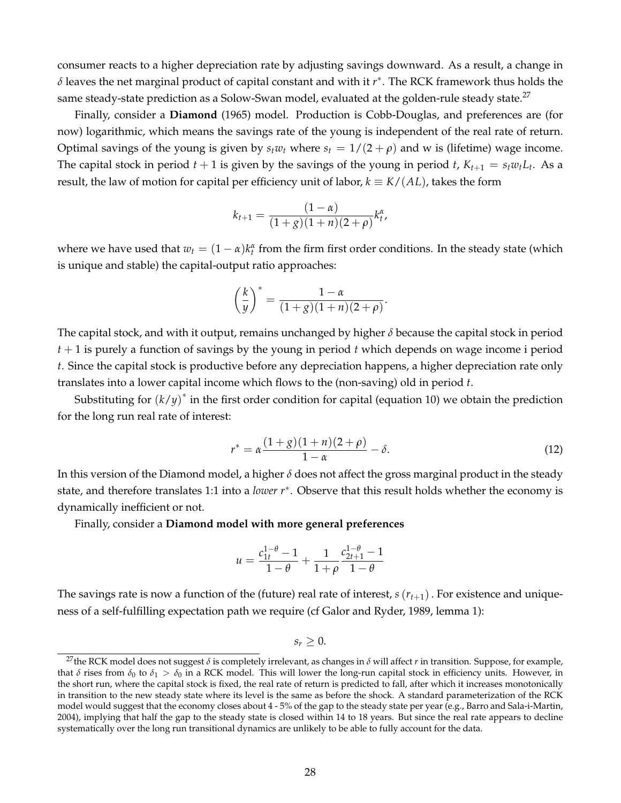consumer reacts to a higher depreciation rate by adjusting savings downward. As a result, a change in *δ* leaves the net marginal product of capital constant and with it *r* ∗ . The RCK framework thus holds the same steady-state prediction as a Solow-Swan model, evaluated at the golden-rule steady state.<sup>27</sup>

Finally, consider a **Diamond** (1965) model. Production is Cobb-Douglas, and preferences are (for now) logarithmic, which means the savings rate of the young is independent of the real rate of return. Optimal savings of the young is given by  $s_t w_t$  where  $s_t = 1/(2 + \rho)$  and w is (lifetime) wage income. The capital stock in period  $t + 1$  is given by the savings of the young in period  $t$ ,  $K_{t+1} = s_t w_t L_t$ . As a result, the law of motion for capital per efficiency unit of labor,  $k \equiv K/(AL)$ , takes the form

$$
k_{t+1} = \frac{(1-\alpha)}{(1+g)(1+n)(2+\rho)} k_t^{\alpha},
$$

where we have used that  $w_t = (1 - \alpha)k_t^{\alpha}$  from the firm first order conditions. In the steady state (which is unique and stable) the capital-output ratio approaches:

$$
\left(\frac{k}{y}\right)^* = \frac{1-\alpha}{(1+g)(1+n)(2+\rho)}.
$$

The capital stock, and with it output, remains unchanged by higher *δ* because the capital stock in period *t* + 1 is purely a function of savings by the young in period *t* which depends on wage income i period *t*. Since the capital stock is productive before any depreciation happens, a higher depreciation rate only translates into a lower capital income which flows to the (non-saving) old in period *t*.

Substituting for  $(k/y)^*$  in the first order condition for capital (equation 10) we obtain the prediction for the long run real rate of interest:

$$
r^* = \alpha \frac{(1+g)(1+n)(2+\rho)}{1-\alpha} - \delta.
$$
 (12)

In this version of the Diamond model, a higher  $\delta$  does not affect the gross marginal product in the steady state, and therefore translates 1:1 into a *lower r*<sup>∗</sup> . Observe that this result holds whether the economy is dynamically inefficient or not.

Finally, consider a **Diamond model with more general preferences**

$$
u = \frac{c_{1t}^{1-\theta} - 1}{1-\theta} + \frac{1}{1+\rho} \frac{c_{2t+1}^{1-\theta} - 1}{1-\theta}
$$

The savings rate is now a function of the (future) real rate of interest,  $s(r_{t+1})$ . For existence and uniqueness of a self-fulfilling expectation path we require (cf Galor and Ryder, 1989, lemma 1):

 $s_r > 0$ .

<sup>&</sup>lt;sup>27</sup>the RCK model does not suggest *δ* is completely irrelevant, as changes in *δ* will affect *r* in transition. Suppose, for example, that  $\delta$  rises from  $\delta_0$  to  $\delta_1 > \delta_0$  in a RCK model. This will lower the long-run capital stock in efficiency units. However, in the short run, where the capital stock is fixed, the real rate of return is predicted to fall, after which it increases monotonically in transition to the new steady state where its level is the same as before the shock. A standard parameterization of the RCK model would suggest that the economy closes about 4 - 5% of the gap to the steady state per year (e.g., Barro and Sala-i-Martin, 2004), implying that half the gap to the steady state is closed within 14 to 18 years. But since the real rate appears to decline systematically over the long run transitional dynamics are unlikely to be able to fully account for the data.